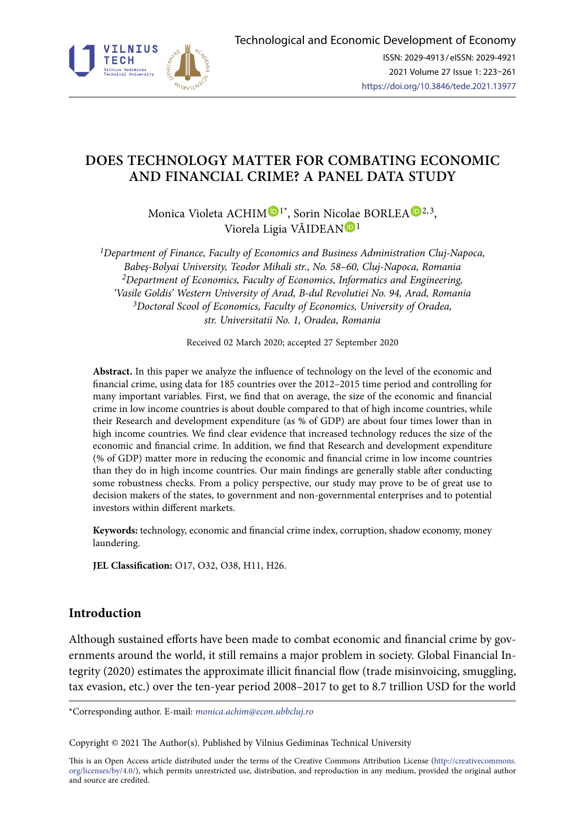

# **DOES TECHNOLOGY MATTER FOR COMBATING ECONOMIC AND FINANCIAL CRIME? A PANEL DATA STUDY**

[M](https://orcid.org/0000-0003-4701-041X)onica Violeta ACHIM  $\mathbf{D}^{1*}$  $\mathbf{D}^{1*}$  $\mathbf{D}^{1*}$ , Sorin Nicolae BORLEA  $\mathbf{D}^{2,3}$  $\mathbf{D}^{2,3}$  $\mathbf{D}^{2,3}$ , Viorela Ligia VĂIDEA[N](https://orcid.org/0000-0001-6481-137X)<sup>D1</sup>

*1Department of Finance, Faculty of Economics and Business Administration Cluj-Napoca, Babeş-Bolyai University, Teodor Mihali str., No. 58–60, Cluj-Napoca, Romania 2Department of Economics, Faculty of Economics, Informatics and Engineering, 'Vasile Goldis' Western University of Arad, B-dul Revolutiei No. 94, Arad, Romania 3Doctoral Scool of Economics, Faculty of Economics, University of Oradea, str. Universitatii No. 1, Oradea, Romania*

Received 02 March 2020; accepted 27 September 2020

**Abstract.** In this paper we analyze the influence of technology on the level of the economic and financial crime, using data for 185 countries over the 2012–2015 time period and controlling for many important variables. First, we find that on average, the size of the economic and financial crime in low income countries is about double compared to that of high income countries, while their Research and development expenditure (as % of GDP) are about four times lower than in high income countries. We find clear evidence that increased technology reduces the size of the economic and financial crime. In addition, we find that Research and development expenditure (% of GDP) matter more in reducing the economic and financial crime in low income countries than they do in high income countries. Our main findings are generally stable after conducting some robustness checks. From a policy perspective, our study may prove to be of great use to decision makers of the states, to government and non-governmental enterprises and to potential investors within different markets.

**Keywords:** technology, economic and financial crime index, corruption, shadow economy, money laundering.

**JEL Classification:** O17, O32, O38, H11, H26.

## **Introduction**

Although sustained efforts have been made to combat economic and financial crime by governments around the world, it still remains a major problem in society. [Global Financial In](https://gfintegrity.org/report/trade-related-illicit-financial-flows-in-135-developing-countries-2008-2017/)[tegrity \(2020\)](https://gfintegrity.org/report/trade-related-illicit-financial-flows-in-135-developing-countries-2008-2017/) estimates the approximate illicit financial flow (trade misinvoicing, smuggling, tax evasion, etc.) over the ten-year period 2008–2017 to get to 8.7 trillion USD for the world

\*Corresponding author. E-mail: *monica.achim@econ.ubbcluj.ro*

Copyright © 2021 The Author(s). Published by Vilnius Gediminas Technical University

This is an Open Access article distributed under the terms of the Creative Commons Attribution License ([http://creativecommons.](http://dx.doi.org/10.1016/S0377-2217(03)00091-2) [org/licenses/by/4.0/\)](http://dx.doi.org/10.1016/S0377-2217(03)00091-2), which permits unrestricted use, distribution, and reproduction in any medium, provided the original author and source are credited.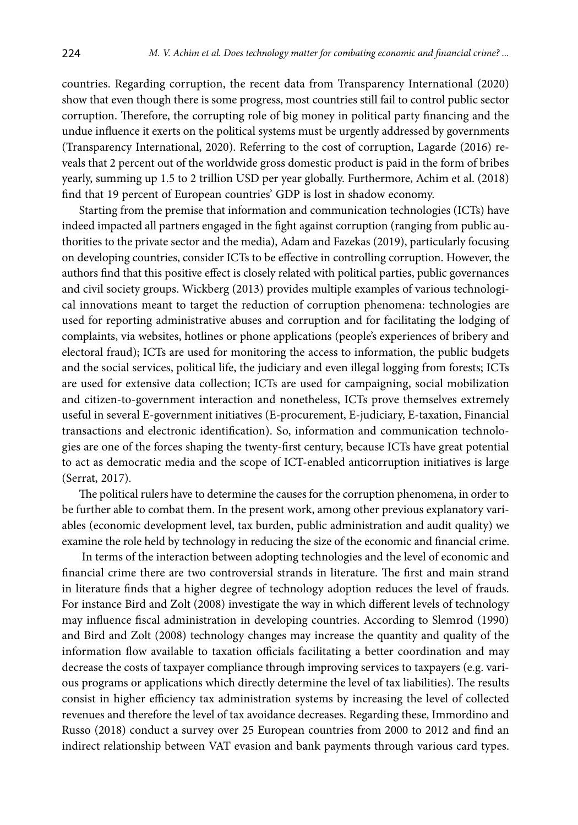countries. Regarding corruption, the recent data from [Transparency International \(2020\)](https://www.transparency.org/files/content/pages/2019_CPI_Report_EN.pdf)  show that even though there is some progress, most countries still fail to control public sector corruption. Therefore, the corrupting role of big money in political party financing and the undue influence it exerts on the political systems must be urgently addressed by governments [\(Transparency International, 2020\)](https://www.transparency.org/files/content/pages/2019_CPI_Report_EN.pdf). Referring to the cost of corruption, Lagarde (2016) reveals that 2 percent out of the worldwide gross domestic product is paid in the form of bribes yearly, summing up 1.5 to 2 trillion USD per year globally. Furthermore, Achim et al. (2018) find that 19 percent of European countries' GDP is lost in shadow economy.

Starting from the premise that information and communication technologies (ICTs) have indeed impacted all partners engaged in the fight against corruption (ranging from public authorities to the private sector and the media), Adam and Fazekas (2019), particularly focusing on developing countries, consider ICTs to be effective in controlling corruption. However, the authors find that this positive effect is closely related with political parties, public governances and civil society groups. Wickberg (2013) provides multiple examples of various technological innovations meant to target the reduction of corruption phenomena: technologies are used for reporting administrative abuses and corruption and for facilitating the lodging of complaints, via websites, hotlines or phone applications (people's experiences of bribery and electoral fraud); ICTs are used for monitoring the access to information, the public budgets and the social services, political life, the judiciary and even illegal logging from forests; ICTs are used for extensive data collection; ICTs are used for campaigning, social mobilization and citizen-to-government interaction and nonetheless, ICTs prove themselves extremely useful in several E-government initiatives (E-procurement, E-judiciary, E-taxation, Financial transactions and electronic identification). So, information and communication technologies are one of the forces shaping the twenty-first century, because ICTs have great potential to act as democratic media and the scope of ICT-enabled anticorruption initiatives is large (Serrat, 2017).

The political rulers have to determine the causes for the corruption phenomena, in order to be further able to combat them. In the present work, among other previous explanatory variables (economic development level, tax burden, public administration and audit quality) we examine the role held by technology in reducing the size of the economic and financial crime.

 In terms of the interaction between adopting technologies and the level of economic and financial crime there are two controversial strands in literature. The first and main strand in literature finds that a higher degree of technology adoption reduces the level of frauds. For instance Bird and Zolt (2008) investigate the way in which different levels of technology may influence fiscal administration in developing countries. According to Slemrod (1990) and Bird and Zolt (2008) technology changes may increase the quantity and quality of the information flow available to taxation officials facilitating a better coordination and may decrease the costs of taxpayer compliance through improving services to taxpayers (e.g. various programs or applications which directly determine the level of tax liabilities). The results consist in higher efficiency tax administration systems by increasing the level of collected revenues and therefore the level of tax avoidance decreases. Regarding these, Immordino and Russo (2018) conduct a survey over 25 European countries from 2000 to 2012 and find an indirect relationship between VAT evasion and bank payments through various card types.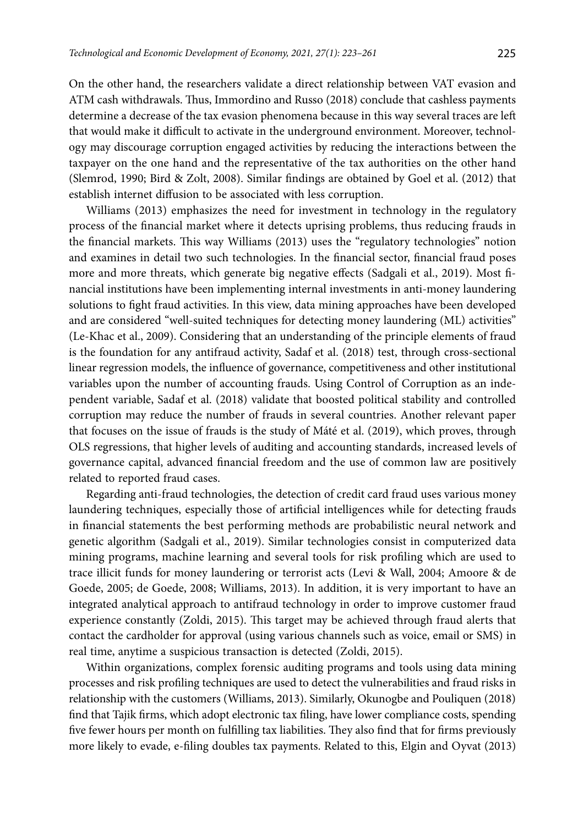On the other hand, the researchers validate a direct relationship between VAT evasion and ATM cash withdrawals. Thus, Immordino and Russo (2018) conclude that cashless payments determine a decrease of the tax evasion phenomena because in this way several traces are left that would make it difficult to activate in the underground environment. Moreover, technology may discourage corruption engaged activities by reducing the interactions between the taxpayer on the one hand and the representative of the tax authorities on the other hand (Slemrod, 1990; Bird & Zolt, 2008). Similar findings are obtained by Goel et al. (2012) that establish internet diffusion to be associated with less corruption.

Williams (2013) emphasizes the need for investment in technology in the regulatory process of the financial market where it detects uprising problems, thus reducing frauds in the financial markets. This way Williams (2013) uses the "regulatory technologies" notion and examines in detail two such technologies. In the financial sector, financial fraud poses more and more threats, which generate big negative effects (Sadgali et al., 2019). Most financial institutions have been implementing internal investments in anti-money laundering solutions to fight fraud activities. In this view, data mining approaches have been developed and are considered "well-suited techniques for detecting money laundering (ML) activities" (Le-Khac et al., 2009). Considering that an understanding of the principle elements of fraud is the foundation for any antifraud activity, Sadaf et al. (2018) test, through cross-sectional linear regression models, the influence of governance, competitiveness and other institutional variables upon the number of accounting frauds. Using Control of Corruption as an independent variable, Sadaf et al. (2018) validate that boosted political stability and controlled corruption may reduce the number of frauds in several countries. Another relevant paper that focuses on the issue of frauds is the study of Máté et al. (2019), which proves, through OLS regressions, that higher levels of auditing and accounting standards, increased levels of governance capital, advanced financial freedom and the use of common law are positively related to reported fraud cases.

Regarding anti-fraud technologies, the detection of credit card fraud uses various money laundering techniques, especially those of artificial intelligences while for detecting frauds in financial statements the best performing methods are probabilistic neural network and genetic algorithm (Sadgali et al., 2019). Similar technologies consist in computerized data mining programs, machine learning and several tools for risk profiling which are used to trace illicit funds for money laundering or terrorist acts (Levi & Wall, 2004; Amoore & de Goede, 2005; de Goede, 2008; Williams, 2013). In addition, it is very important to have an integrated analytical approach to antifraud technology in order to improve customer fraud experience constantly (Zoldi, 2015). This target may be achieved through fraud alerts that contact the cardholder for approval (using various channels such as voice, email or SMS) in real time, anytime a suspicious transaction is detected (Zoldi, 2015).

Within organizations, complex forensic auditing programs and tools using data mining processes and risk profiling techniques are used to detect the vulnerabilities and fraud risks in relationship with the customers (Williams, 2013). Similarly, Okunogbe and Pouliquen (2018) find that Tajik firms, which adopt electronic tax filing, have lower compliance costs, spending five fewer hours per month on fulfilling tax liabilities. They also find that for firms previously more likely to evade, e-filing doubles tax payments. Related to this, Elgin and Oyvat (2013)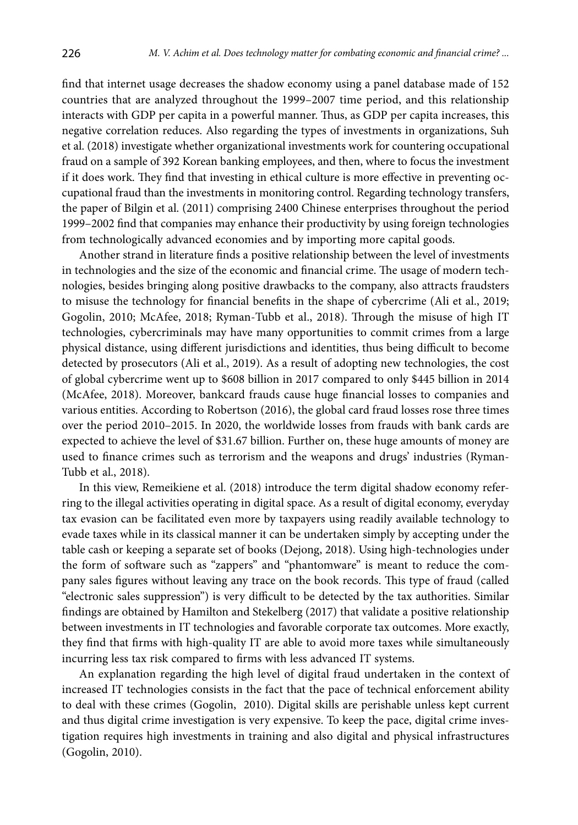find that internet usage decreases the shadow economy using a panel database made of 152 countries that are analyzed throughout the 1999–2007 time period, and this relationship interacts with GDP per capita in a powerful manner. Thus, as GDP per capita increases, this negative correlation reduces. Also regarding the types of investments in organizations, Suh et al. (2018) investigate whether organizational investments work for countering occupational fraud on a sample of 392 Korean banking employees, and then, where to focus the investment if it does work. They find that investing in ethical culture is more effective in preventing occupational fraud than the investments in monitoring control. Regarding technology transfers, the paper of Bilgin et al. (2011) comprising 2400 Chinese enterprises throughout the period 1999–2002 find that companies may enhance their productivity by using foreign technologies from technologically advanced economies and by importing more capital goods.

Another strand in literature finds a positive relationship between the level of investments in technologies and the size of the economic and financial crime. The usage of modern technologies, besides bringing along positive drawbacks to the company, also attracts fraudsters to misuse the technology for financial benefits in the shape of cybercrime (Ali et al., 2019; Gogolin, 2010; McAfee, 2018; Ryman-Tubb et al., 2018). Through the misuse of high IT technologies, cybercriminals may have many opportunities to commit crimes from a large physical distance, using different jurisdictions and identities, thus being difficult to become detected by prosecutors (Ali et al., 2019). As a result of adopting new technologies, the cost of global cybercrime went up to \$608 billion in 2017 compared to only \$445 billion in 2014 (McAfee, 2018). Moreover, bankcard frauds cause huge financial losses to companies and various entities. According to Robertson (2016), the global card fraud losses rose three times over the period 2010–2015. In 2020, the worldwide losses from frauds with bank cards are expected to achieve the level of \$31.67 billion. Further on, these huge amounts of money are used to finance crimes such as terrorism and the weapons and drugs' industries (Ryman-Tubb et al., 2018).

In this view, Remeikiene et al. (2018) introduce the term digital shadow economy referring to the illegal activities operating in digital space. As a result of digital economy, everyday tax evasion can be facilitated even more by taxpayers using readily available technology to evade taxes while in its classical manner it can be undertaken simply by accepting under the table cash or keeping a separate set of books (Dejong, 2018). Using high-technologies under the form of software such as "zappers" and "phantomware" is meant to reduce the company sales figures without leaving any trace on the book records. This type of fraud (called "electronic sales suppression") is very difficult to be detected by the tax authorities. Similar findings are obtained by Hamilton and Stekelberg (2017) that validate a positive relationship between investments in IT technologies and favorable corporate tax outcomes. More exactly, they find that firms with high-quality IT are able to avoid more taxes while simultaneously incurring less tax risk compared to firms with less advanced IT systems.

An explanation regarding the high level of digital fraud undertaken in the context of increased IT technologies consists in the fact that the pace of technical enforcement ability to deal with these crimes (Gogolin, 2010). Digital skills are perishable unless kept current and thus digital crime investigation is very expensive. To keep the pace, digital crime investigation requires high investments in training and also digital and physical infrastructures (Gogolin, 2010).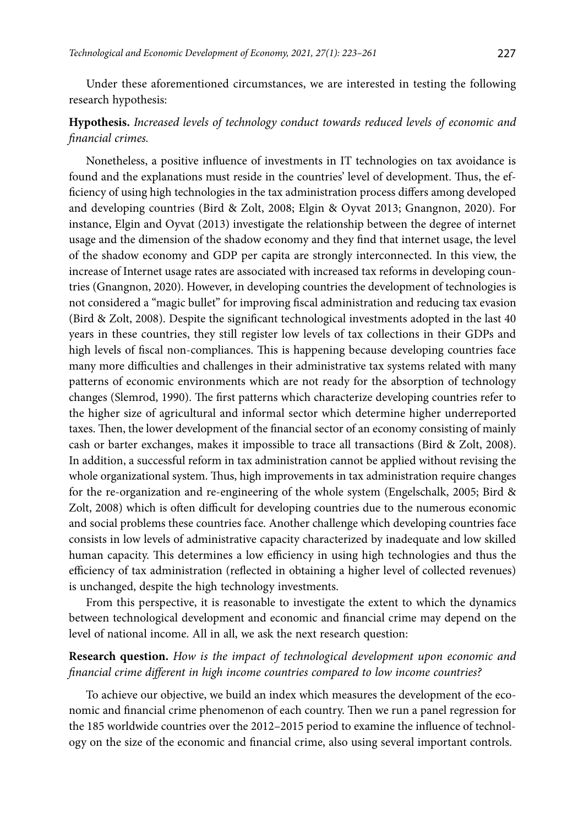Under these aforementioned circumstances, we are interested in testing the following research hypothesis:

# **Hypothesis.** *Increased levels of technology conduct towards reduced levels of economic and financial crimes.*

Nonetheless, a positive influence of investments in IT technologies on tax avoidance is found and the explanations must reside in the countries' level of development. Thus, the efficiency of using high technologies in the tax administration process differs among developed and developing countries (Bird & Zolt, 2008; Elgin & Oyvat 2013; Gnangnon, 2020). For instance, Elgin and Oyvat (2013) investigate the relationship between the degree of internet usage and the dimension of the shadow economy and they find that internet usage, the level of the shadow economy and GDP per capita are strongly interconnected. In this view, the increase of Internet usage rates are associated with increased tax reforms in developing countries (Gnangnon, 2020). However, in developing countries the development of technologies is not considered a "magic bullet" for improving fiscal administration and reducing tax evasion (Bird & Zolt, 2008). Despite the significant technological investments adopted in the last 40 years in these countries, they still register low levels of tax collections in their GDPs and high levels of fiscal non-compliances. This is happening because developing countries face many more difficulties and challenges in their administrative tax systems related with many patterns of economic environments which are not ready for the absorption of technology changes (Slemrod, 1990). The first patterns which characterize developing countries refer to the higher size of agricultural and informal sector which determine higher underreported taxes. Then, the lower development of the financial sector of an economy consisting of mainly cash or barter exchanges, makes it impossible to trace all transactions (Bird & Zolt, 2008). In addition, a successful reform in tax administration cannot be applied without revising the whole organizational system. Thus, high improvements in tax administration require changes for the re-organization and re-engineering of the whole system (Engelschalk, 2005; Bird & Zolt, 2008) which is often difficult for developing countries due to the numerous economic and social problems these countries face. Another challenge which developing countries face consists in low levels of administrative capacity characterized by inadequate and low skilled human capacity. This determines a low efficiency in using high technologies and thus the efficiency of tax administration (reflected in obtaining a higher level of collected revenues) is unchanged, despite the high technology investments.

From this perspective, it is reasonable to investigate the extent to which the dynamics between technological development and economic and financial crime may depend on the level of national income. All in all, we ask the next research question:

### **Research question.** *How is the impact of technological development upon economic and financial crime different in high income countries compared to low income countries?*

To achieve our objective, we build an index which measures the development of the economic and financial crime phenomenon of each country. Then we run a panel regression for the 185 worldwide countries over the 2012–2015 period to examine the influence of technology on the size of the economic and financial crime, also using several important controls.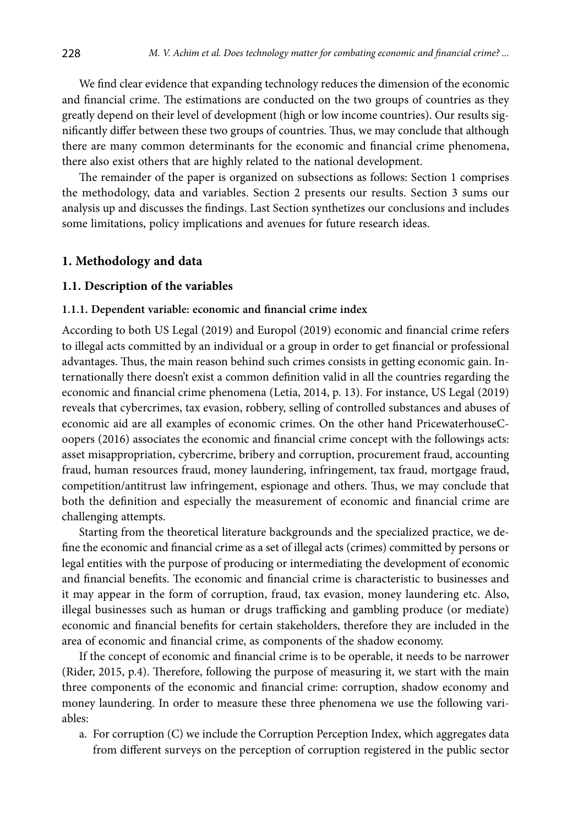We find clear evidence that expanding technology reduces the dimension of the economic and financial crime. The estimations are conducted on the two groups of countries as they greatly depend on their level of development (high or low income countries). Our results significantly differ between these two groups of countries. Thus, we may conclude that although there are many common determinants for the economic and financial crime phenomena, there also exist others that are highly related to the national development.

The remainder of the paper is organized on subsections as follows: Section 1 comprises the methodology, data and variables. Section 2 presents our results. Section 3 sums our analysis up and discusses the findings. Last Section synthetizes our conclusions and includes some limitations, policy implications and avenues for future research ideas.

### **1. Methodology and data**

#### **1.1. Description of the variables**

#### **1.1.1. Dependent variable: economic and financial crime index**

According to both US Legal (2019) and Europol (2019) economic and financial crime refers to illegal acts committed by an individual or a group in order to get financial or professional advantages. Thus, the main reason behind such crimes consists in getting economic gain. Internationally there doesn't exist a common definition valid in all the countries regarding the economic and financial crime phenomena (Letia, 2014, p. 13). For instance, US Legal (2019) reveals that cybercrimes, tax evasion, robbery, selling of controlled substances and abuses of economic aid are all examples of economic crimes. On the other hand PricewaterhouseCoopers (2016) associates the economic and financial crime concept with the followings acts: asset misappropriation, cybercrime, bribery and corruption, procurement fraud, accounting fraud, human resources fraud, money laundering, infringement, tax fraud, mortgage fraud, competition/antitrust law infringement, espionage and others. Thus, we may conclude that both the definition and especially the measurement of economic and financial crime are challenging attempts.

Starting from the theoretical literature backgrounds and the specialized practice, we define the economic and financial crime as a set of illegal acts (crimes) committed by persons or legal entities with the purpose of producing or intermediating the development of economic and financial benefits. The economic and financial crime is characteristic to businesses and it may appear in the form of corruption, fraud, tax evasion, money laundering etc. Also, illegal businesses such as human or drugs trafficking and gambling produce (or mediate) economic and financial benefits for certain stakeholders, therefore they are included in the area of economic and financial crime, as components of the shadow economy.

If the concept of economic and financial crime is to be operable, it needs to be narrower (Rider, 2015, p.4). Therefore, following the purpose of measuring it, we start with the main three components of the economic and financial crime: corruption, shadow economy and money laundering. In order to measure these three phenomena we use the following variables:

a. For corruption (C) we include the Corruption Perception Index, which aggregates data from different surveys on the perception of corruption registered in the public sector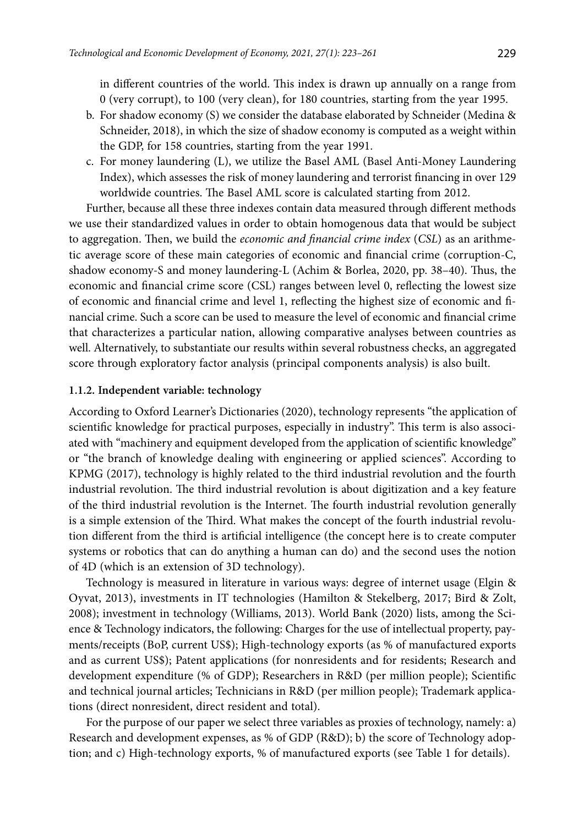in different countries of the world. This index is drawn up annually on a range from 0 (very corrupt), to 100 (very clean), for 180 countries, starting from the year 1995.

- b. For shadow economy (S) we consider the database elaborated by Schneider (Medina & Schneider, 2018), in which the size of shadow economy is computed as a weight within the GDP, for 158 countries, starting from the year 1991.
- c. For money laundering (L), we utilize the Basel AML (Basel Anti-Money Laundering Index), which assesses the risk of money laundering and terrorist financing in over 129 worldwide countries. The Basel AML score is calculated starting from 2012.

Further, because all these three indexes contain data measured through different methods we use their standardized values in order to obtain homogenous data that would be subject to aggregation. Then, we build the *economic and financial crime index* (*CSL*) as an arithmetic average score of these main categories of economic and financial crime (corruption-C, shadow economy-S and money laundering-L (Achim & Borlea, 2020, pp. 38–40). Thus, the economic and financial crime score (CSL) ranges between level 0, reflecting the lowest size of economic and financial crime and level 1, reflecting the highest size of economic and financial crime. Such a score can be used to measure the level of economic and financial crime that characterizes a particular nation, allowing comparative analyses between countries as well. Alternatively, to substantiate our results within several robustness checks, an aggregated score through exploratory factor analysis (principal components analysis) is also built.

#### **1.1.2. Independent variable: technology**

According to Oxford Learner's Dictionaries (2020), technology represents "the application of scientific knowledge for practical purposes, especially in industry". This term is also associated with "machinery and equipment developed from the application of scientific knowledge" or "the branch of knowledge dealing with engineering or applied sciences". According to KPMG (2017), technology is highly related to the third industrial revolution and the fourth industrial revolution. The third industrial revolution is about digitization and a key feature of the third industrial revolution is the Internet. The fourth industrial revolution generally is a simple extension of the Third. What makes the concept of the fourth industrial revolution different from the third is artificial intelligence (the concept here is to create computer systems or robotics that can do anything a human can do) and the second uses the notion of 4D (which is an extension of 3D technology).

Technology is measured in literature in various ways: degree of internet usage (Elgin & Oyvat, 2013), investments in IT technologies (Hamilton & Stekelberg, 2017; Bird & Zolt, 2008); investment in technology (Williams, 2013). World Bank (2020) lists, among the Science & Technology indicators, the following: Charges for the use of intellectual property, payments/receipts (BoP, current US\$); High-technology exports (as % of manufactured exports and as current US\$); Patent applications (for nonresidents and for residents; Research and development expenditure (% of GDP); Researchers in R&D (per million people); [Scientific](https://data.worldbank.org/indicator/IP.JRN.ARTC.SC?view=chart) [and technical journal articles;](https://data.worldbank.org/indicator/IP.JRN.ARTC.SC?view=chart) Technicians in R&D (per million people); Trademark applications (direct nonresident, [direct resident](https://data.worldbank.org/indicator/IP.TMK.RESD?view=chart) an[d total](https://data.worldbank.org/indicator/IP.TMK.TOTL?view=chart)).

For the purpose of our paper we select three variables as proxies of technology, namely: a) Research and development expenses, as % of GDP (R&D); b) the score of Technology adoption; and c) High-technology exports, % of manufactured exports (see Table 1 for details).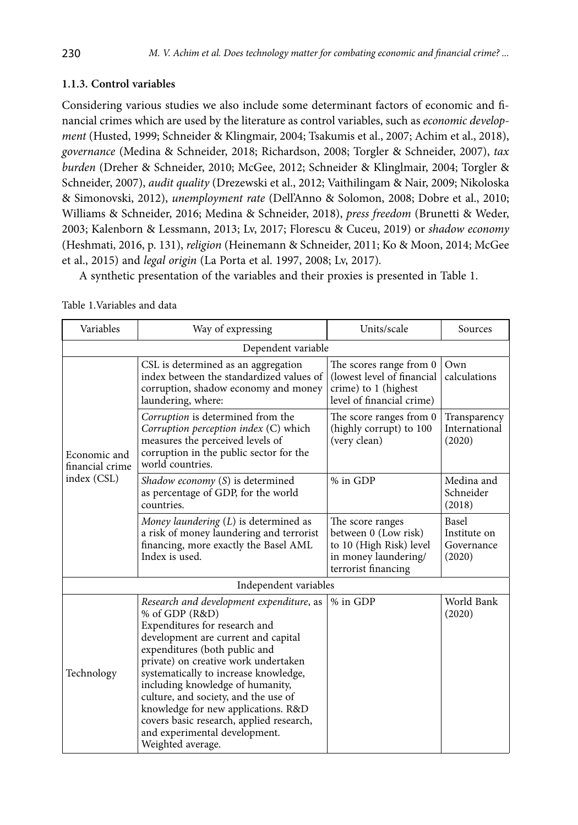### **1.1.3. Control variables**

Considering various studies we also include some determinant factors of economic and financial crimes which are used by the literature as control variables, such as *economic development* (Husted, 1999; Schneider & Klingmair, 2004; Tsakumis et al., 2007; Achim et al., 2018), *governance* (Medina & Schneider, 2018; Richardson, 2008; Torgler & Schneider, 2007), *tax burden* (Dreher & Schneider, 2010; McGee, 2012; Schneider & Klinglmair, 2004; Torgler & Schneider, 2007), *audit quality* (Drezewski et al., 2012; Vaithilingam & Nair, 2009; Nikoloska & Simonovski, 2012), *unemployment rate* (Dell'Anno & Solomon, 2008; Dobre et al., 2010; Williams & Schneider, 2016; Medina & Schneider, 2018), *press freedom* (Brunetti & Weder, 2003; Kalenborn & Lessmann, 2013; Lv, 2017; Florescu & Cuceu, 2019) or *shadow economy* (Heshmati, 2016, p. 131), *religion* (Heinemann & Schneider, 2011; Ko & Moon, 2014; McGee et al., 2015) and *legal origin* (La Porta et al. 1997, 2008; Lv, 2017)*.* 

A synthetic presentation of the variables and their proxies is presented in Table 1.

Table 1.Variables and data

| Variables                       | Way of expressing                                                                                                                                                                                                                                                                                                                                                                                                                                                         | Units/scale                                                                                                        | Sources                                       |
|---------------------------------|---------------------------------------------------------------------------------------------------------------------------------------------------------------------------------------------------------------------------------------------------------------------------------------------------------------------------------------------------------------------------------------------------------------------------------------------------------------------------|--------------------------------------------------------------------------------------------------------------------|-----------------------------------------------|
|                                 | Dependent variable                                                                                                                                                                                                                                                                                                                                                                                                                                                        |                                                                                                                    |                                               |
|                                 | CSL is determined as an aggregation<br>index between the standardized values of<br>corruption, shadow economy and money<br>laundering, where:                                                                                                                                                                                                                                                                                                                             | The scores range from 0<br>(lowest level of financial<br>crime) to 1 (highest<br>level of financial crime)         | Own<br>calculations                           |
| Economic and<br>financial crime | Corruption is determined from the<br>Corruption perception index (C) which<br>measures the perceived levels of<br>corruption in the public sector for the<br>world countries.                                                                                                                                                                                                                                                                                             | The score ranges from 0<br>(highly corrupt) to 100<br>(very clean)                                                 | Transparency<br>International<br>(2020)       |
| index (CSL)                     | Shadow economy (S) is determined<br>as percentage of GDP, for the world<br>countries.                                                                                                                                                                                                                                                                                                                                                                                     | % in GDP                                                                                                           | Medina and<br>Schneider<br>(2018)             |
|                                 | Money laundering $(L)$ is determined as<br>a risk of money laundering and terrorist<br>financing, more exactly the Basel AML<br>Index is used.                                                                                                                                                                                                                                                                                                                            | The score ranges<br>between 0 (Low risk)<br>to 10 (High Risk) level<br>in money laundering/<br>terrorist financing | Basel<br>Institute on<br>Governance<br>(2020) |
|                                 | Independent variables                                                                                                                                                                                                                                                                                                                                                                                                                                                     |                                                                                                                    |                                               |
| Technology                      | Research and development expenditure, as<br>% of GDP (R&D)<br>Expenditures for research and<br>development are current and capital<br>expenditures (both public and<br>private) on creative work undertaken<br>systematically to increase knowledge,<br>including knowledge of humanity,<br>culture, and society, and the use of<br>knowledge for new applications. R&D<br>covers basic research, applied research,<br>and experimental development.<br>Weighted average. | % in GDP                                                                                                           | World Bank<br>(2020)                          |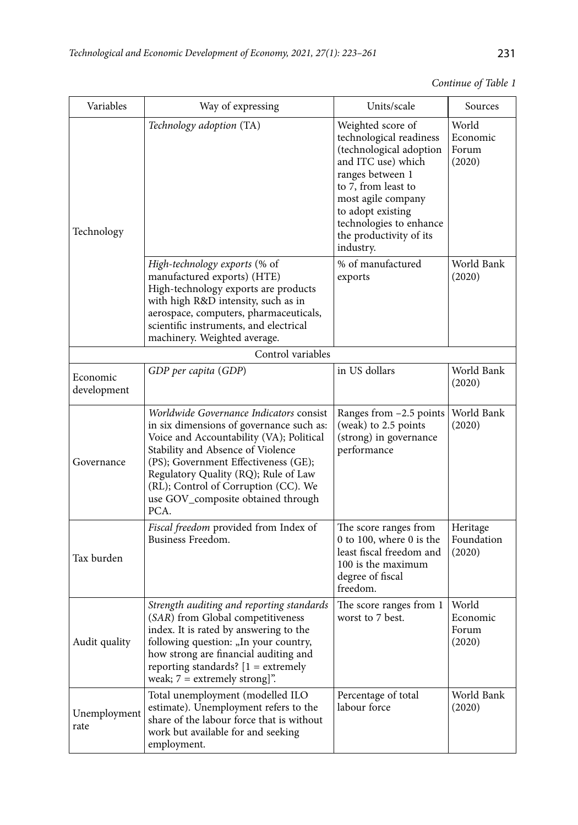*Continue of Table 1*

| Variables               | Way of expressing                                                                                                                                                                                                                                                                                                                          | Units/scale                                                                                                                                                                                                                                            | Sources                              |
|-------------------------|--------------------------------------------------------------------------------------------------------------------------------------------------------------------------------------------------------------------------------------------------------------------------------------------------------------------------------------------|--------------------------------------------------------------------------------------------------------------------------------------------------------------------------------------------------------------------------------------------------------|--------------------------------------|
| Technology              | Technology adoption (TA)                                                                                                                                                                                                                                                                                                                   | Weighted score of<br>technological readiness<br>(technological adoption<br>and ITC use) which<br>ranges between 1<br>to 7, from least to<br>most agile company<br>to adopt existing<br>technologies to enhance<br>the productivity of its<br>industry. | World<br>Economic<br>Forum<br>(2020) |
|                         | High-technology exports (% of<br>manufactured exports) (HTE)<br>High-technology exports are products<br>with high R&D intensity, such as in<br>aerospace, computers, pharmaceuticals,<br>scientific instruments, and electrical<br>machinery. Weighted average.                                                                            | % of manufactured<br>exports                                                                                                                                                                                                                           | World Bank<br>(2020)                 |
|                         | Control variables                                                                                                                                                                                                                                                                                                                          |                                                                                                                                                                                                                                                        |                                      |
| Economic<br>development | GDP per capita (GDP)                                                                                                                                                                                                                                                                                                                       | in US dollars                                                                                                                                                                                                                                          | World Bank<br>(2020)                 |
| Governance              | Worldwide Governance Indicators consist<br>in six dimensions of governance such as:<br>Voice and Accountability (VA); Political<br>Stability and Absence of Violence<br>(PS); Government Effectiveness (GE);<br>Regulatory Quality (RQ); Rule of Law<br>(RL); Control of Corruption (CC). We<br>use GOV_composite obtained through<br>PCA. | Ranges from -2.5 points<br>(weak) to 2.5 points<br>(strong) in governance<br>performance                                                                                                                                                               | World Bank<br>(2020)                 |
| Tax burden              | Fiscal freedom provided from Index of<br>Business Freedom.                                                                                                                                                                                                                                                                                 | The score ranges from<br>0 to 100, where 0 is the<br>least fiscal freedom and<br>100 is the maximum<br>degree of fiscal<br>freedom.                                                                                                                    | Heritage<br>Foundation<br>(2020)     |
| Audit quality           | Strength auditing and reporting standards<br>(SAR) from Global competitiveness<br>index. It is rated by answering to the<br>following question: "In your country,<br>how strong are financial auditing and<br>reporting standards? $[1 =$ extremely<br>weak; $7 =$ extremely strong]".                                                     | The score ranges from 1<br>worst to 7 best.                                                                                                                                                                                                            | World<br>Economic<br>Forum<br>(2020) |
| Unemployment<br>rate    | Total unemployment (modelled ILO<br>estimate). Unemployment refers to the<br>share of the labour force that is without<br>work but available for and seeking<br>employment.                                                                                                                                                                | Percentage of total<br>labour force                                                                                                                                                                                                                    | World Bank<br>(2020)                 |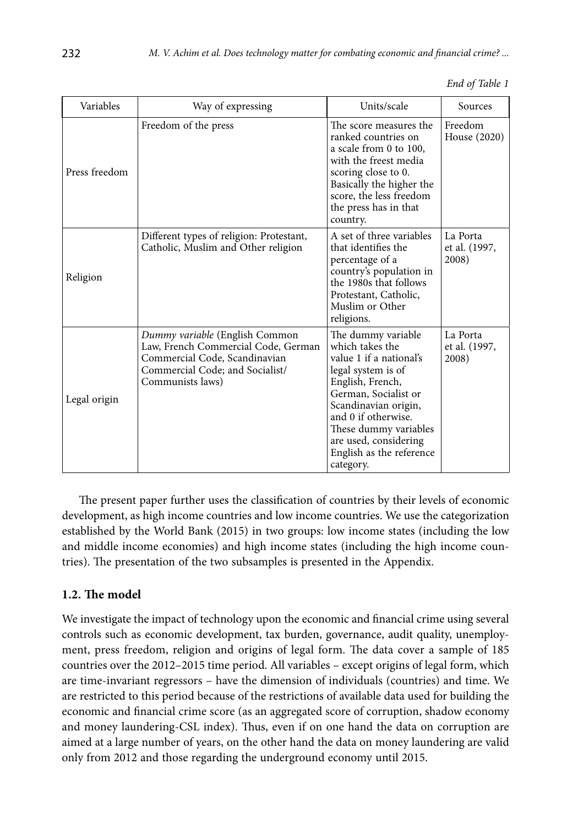|  |  | End of Table 1 |  |  |
|--|--|----------------|--|--|
|--|--|----------------|--|--|

| Variables     | Way of expressing                                                                                                                                             | Units/scale                                                                                                                                                                                                                                                                  | Sources                            |
|---------------|---------------------------------------------------------------------------------------------------------------------------------------------------------------|------------------------------------------------------------------------------------------------------------------------------------------------------------------------------------------------------------------------------------------------------------------------------|------------------------------------|
| Press freedom | Freedom of the press                                                                                                                                          | The score measures the<br>ranked countries on<br>a scale from 0 to 100,<br>with the freest media<br>scoring close to 0.<br>Basically the higher the<br>score, the less freedom<br>the press has in that<br>country.                                                          | Freedom<br>House (2020)            |
| Religion      | Different types of religion: Protestant,<br>Catholic, Muslim and Other religion                                                                               | A set of three variables<br>that identifies the<br>percentage of a<br>country's population in<br>the 1980s that follows<br>Protestant, Catholic,<br>Muslim or Other<br>religions.                                                                                            | La Porta<br>et al. (1997,<br>2008) |
| Legal origin  | Dummy variable (English Common<br>Law, French Commercial Code, German<br>Commercial Code, Scandinavian<br>Commercial Code; and Socialist/<br>Communists laws) | The dummy variable<br>which takes the<br>value 1 if a national's<br>legal system is of<br>English, French,<br>German, Socialist or<br>Scandinavian origin,<br>and 0 if otherwise.<br>These dummy variables<br>are used, considering<br>English as the reference<br>category. | La Porta<br>et al. (1997,<br>2008) |

The present paper further uses the classification of countries by their levels of economic development, as high income countries and low income countries. We use the categorization established by the World Bank (2015) in two groups: low income states (including the low and middle income economies) and high income states (including the high income countries). The presentation of the two subsamples is presented in the Appendix.

## **1.2. The model**

We investigate the impact of technology upon the economic and financial crime using several controls such as economic development, tax burden, governance, audit quality, unemployment, press freedom, religion and origins of legal form. The data cover a sample of 185 countries over the 2012–2015 time period. All variables – except origins of legal form, which are time-invariant regressors – have the dimension of individuals (countries) and time. We are restricted to this period because of the restrictions of available data used for building the economic and financial crime score (as an aggregated score of corruption, shadow economy and money laundering-CSL index). Thus, even if on one hand the data on corruption are aimed at a large number of years, on the other hand the data on money laundering are valid only from 2012 and those regarding the underground economy until 2015.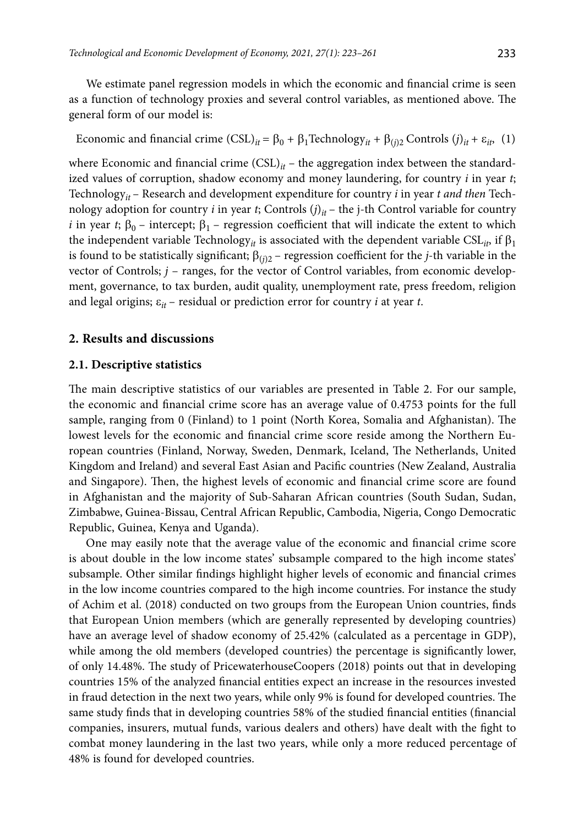We estimate panel regression models in which the economic and financial crime is seen as a function of technology proxies and several control variables, as mentioned above. The general form of our model is:

Economic and financial crime  $(CSL)_{it} = \beta_0 + \beta_1$ Technology<sub>*it*</sub> +  $\beta_{(i)2}$  Controls  $(j)_{it} + \varepsilon_{it}$ , (1)

where Economic and financial crime  $(CSL)_{it}$  – the aggregation index between the standardized values of corruption, shadow economy and money laundering, for country *i* in year *t*; Technology*it* – Research and development expenditure for country *i* in year *t and then* Technology adoption for country *i* in year *t*; Controls  $(j)_{it}$  – the j-th Control variable for country *i* in year *t*;  $\beta_0$  – intercept;  $\beta_1$  – regression coefficient that will indicate the extent to which the independent variable Technology<sub>*it*</sub> is associated with the dependent variable  $CSL_{ip}$ , if  $\beta_1$ is found to be statistically significant;  $\beta_{(i)2}$  – regression coefficient for the *j*-th variable in the vector of Controls;  $j$  – ranges, for the vector of Control variables, from economic development, governance, to tax burden, audit quality, unemployment rate, press freedom, religion and legal origins;  $\varepsilon_{it}$  – residual or prediction error for country *i* at year *t*.

### **2. Results and discussions**

### **2.1. Descriptive statistics**

The main descriptive statistics of our variables are presented in Table 2. For our sample, the economic and financial crime score has an average value of 0.4753 points for the full sample, ranging from 0 (Finland) to 1 point (North Korea, Somalia and Afghanistan). The lowest levels for the economic and financial crime score reside among the Northern European countries (Finland, Norway, Sweden, Denmark, Iceland, The Netherlands, United Kingdom and Ireland) and several East Asian and Pacific countries (New Zealand, Australia and Singapore). Then, the highest levels of economic and financial crime score are found in Afghanistan and the majority of Sub-Saharan African countries (South Sudan, Sudan, Zimbabwe, Guinea-Bissau, Central African Republic, Cambodia, Nigeria, Congo Democratic Republic, Guinea, Kenya and Uganda).

One may easily note that the average value of the economic and financial crime score is about double in the low income states' subsample compared to the high income states' subsample. Other similar findings highlight higher levels of economic and financial crimes in the low income countries compared to the high income countries. For instance the study of Achim et al. (2018) conducted on two groups from the European Union countries, finds that European Union members (which are generally represented by developing countries) have an average level of shadow economy of 25.42% (calculated as a percentage in GDP), while among the old members (developed countries) the percentage is significantly lower, of only 14.48%. The study of PricewaterhouseCoopers (2018) points out that in developing countries 15% of the analyzed financial entities expect an increase in the resources invested in fraud detection in the next two years, while only 9% is found for developed countries. The same study finds that in developing countries 58% of the studied financial entities (financial companies, insurers, mutual funds, various dealers and others) have dealt with the fight to combat money laundering in the last two years, while only a more reduced percentage of 48% is found for developed countries.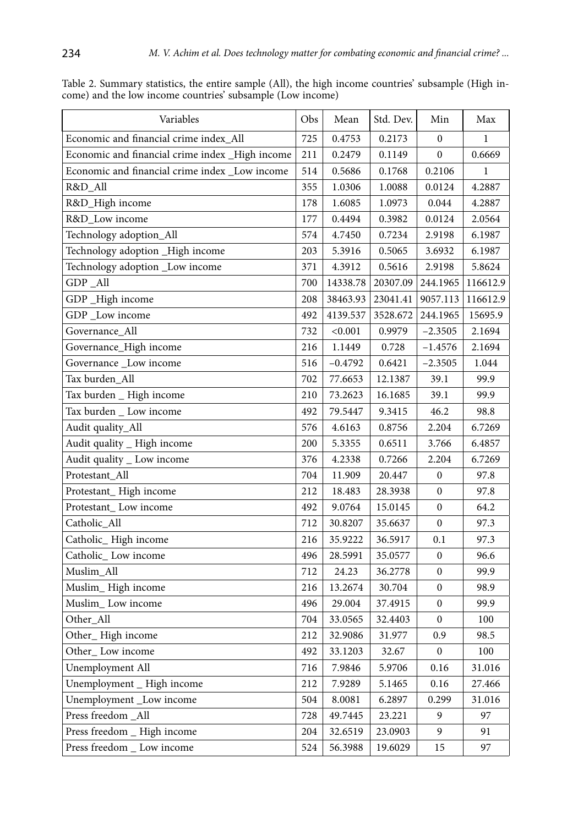| Variables                                       | Obs | Mean      | Std. Dev. | Min              | Max         |
|-------------------------------------------------|-----|-----------|-----------|------------------|-------------|
| Economic and financial crime index_All          | 725 | 0.4753    | 0.2173    | $\mathbf{0}$     | 1           |
| Economic and financial crime index _High income | 211 | 0.2479    | 0.1149    | 0                | 0.6669      |
| Economic and financial crime index_Low income   | 514 | 0.5686    | 0.1768    | 0.2106           | $\mathbf 1$ |
| R&D_All                                         | 355 | 1.0306    | 1.0088    | 0.0124           | 4.2887      |
| R&D_High income                                 | 178 | 1.6085    | 1.0973    | 0.044            | 4.2887      |
| R&D_Low income                                  | 177 | 0.4494    | 0.3982    | 0.0124           | 2.0564      |
| Technology adoption_All                         | 574 | 4.7450    | 0.7234    | 2.9198           | 6.1987      |
| Technology adoption _High income                | 203 | 5.3916    | 0.5065    | 3.6932           | 6.1987      |
| Technology adoption _Low income                 | 371 | 4.3912    | 0.5616    | 2.9198           | 5.8624      |
| GDP_All                                         | 700 | 14338.78  | 20307.09  | 244.1965         | 116612.9    |
| GDP_High income                                 | 208 | 38463.93  | 23041.41  | 9057.113         | 116612.9    |
| GDP _Low income                                 | 492 | 4139.537  | 3528.672  | 244.1965         | 15695.9     |
| Governance_All                                  | 732 | < 0.001   | 0.9979    | $-2.3505$        | 2.1694      |
| Governance_High income                          | 216 | 1.1449    | 0.728     | $-1.4576$        | 2.1694      |
| Governance _Low income                          | 516 | $-0.4792$ | 0.6421    | $-2.3505$        | 1.044       |
| Tax burden_All                                  | 702 | 77.6653   | 12.1387   | 39.1             | 99.9        |
| Tax burden _ High income                        | 210 | 73.2623   | 16.1685   | 39.1             | 99.9        |
| Tax burden _ Low income                         | 492 | 79.5447   | 9.3415    | 46.2             | 98.8        |
| Audit quality_All                               | 576 | 4.6163    | 0.8756    | 2.204            | 6.7269      |
| Audit quality _ High income                     | 200 | 5.3355    | 0.6511    | 3.766            | 6.4857      |
| Audit quality _ Low income                      | 376 | 4.2338    | 0.7266    | 2.204            | 6.7269      |
| Protestant_All                                  | 704 | 11.909    | 20.447    | $\boldsymbol{0}$ | 97.8        |
| Protestant_High income                          | 212 | 18.483    | 28.3938   | $\mathbf{0}$     | 97.8        |
| Protestant_Low income                           | 492 | 9.0764    | 15.0145   | $\mathbf{0}$     | 64.2        |
| Catholic_All                                    | 712 | 30.8207   | 35.6637   | 0                | 97.3        |
| Catholic_High income                            | 216 | 35.9222   | 36.5917   | 0.1              | 97.3        |
| Catholic_Low income                             | 496 | 28.5991   | 35.0577   | $\boldsymbol{0}$ | 96.6        |
| Muslim_All                                      | 712 | 24.23     | 36.2778   | $\boldsymbol{0}$ | 99.9        |
| Muslim_High income                              | 216 | 13.2674   | 30.704    | $\mathbf{0}$     | 98.9        |
| Muslim_Low income                               | 496 | 29.004    | 37.4915   | 0                | 99.9        |
| Other_All                                       | 704 | 33.0565   | 32.4403   | 0                | 100         |
| Other_High income                               | 212 | 32.9086   | 31.977    | 0.9              | 98.5        |
| Other_Low income                                | 492 | 33.1203   | 32.67     | $\bf{0}$         | 100         |
| Unemployment All                                | 716 | 7.9846    | 5.9706    | 0.16             | 31.016      |
| Unemployment _ High income                      | 212 | 7.9289    | 5.1465    | 0.16             | 27.466      |
| Unemployment _Low income                        | 504 | 8.0081    | 6.2897    | 0.299            | 31.016      |
| Press freedom_All                               | 728 | 49.7445   | 23.221    | 9                | 97          |
| Press freedom _ High income                     | 204 | 32.6519   | 23.0903   | 9                | 91          |
| Press freedom _ Low income                      | 524 | 56.3988   | 19.6029   | 15               | 97          |

Table 2. Summary statistics, the entire sample (All), the high income countries' subsample (High income) and the low income countries' subsample (Low income)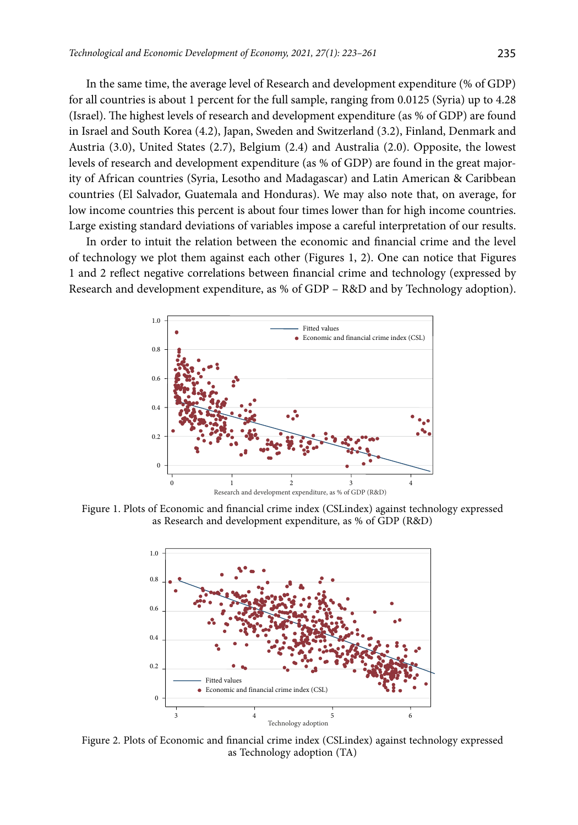In the same time, the average level of Research and development expenditure (% of GDP) for all countries is about 1 percent for the full sample, ranging from 0.0125 (Syria) up to 4.28 (Israel). The highest levels of research and development expenditure (as % of GDP) are found in Israel and South Korea (4.2), Japan, Sweden and Switzerland (3.2), Finland, Denmark and Austria (3.0), United States (2.7), Belgium (2.4) and Australia (2.0). Opposite, the lowest levels of research and development expenditure (as % of GDP) are found in the great majority of African countries (Syria, Lesotho and Madagascar) and Latin American & Caribbean countries (El Salvador, Guatemala and Honduras). We may also note that, on average, for low income countries this percent is about four times lower than for high income countries. Large existing standard deviations of variables impose a careful interpretation of our results.

In order to intuit the relation between the economic and financial crime and the level of technology we plot them against each other (Figures 1, 2). One can notice that Figures 1 and 2 reflect negative correlations between financial crime and technology (expressed by Research and development expenditure, as % of GDP – R&D and by Technology adoption).



Figure 1. Plots of Economic and financial crime index (CSLindex) against technology expressed as Research and development expenditure, as % of GDP (R&D)



Figure 2. Plots of Economic and financial crime index (CSLindex) against technology expressed as Technology adoption (TA)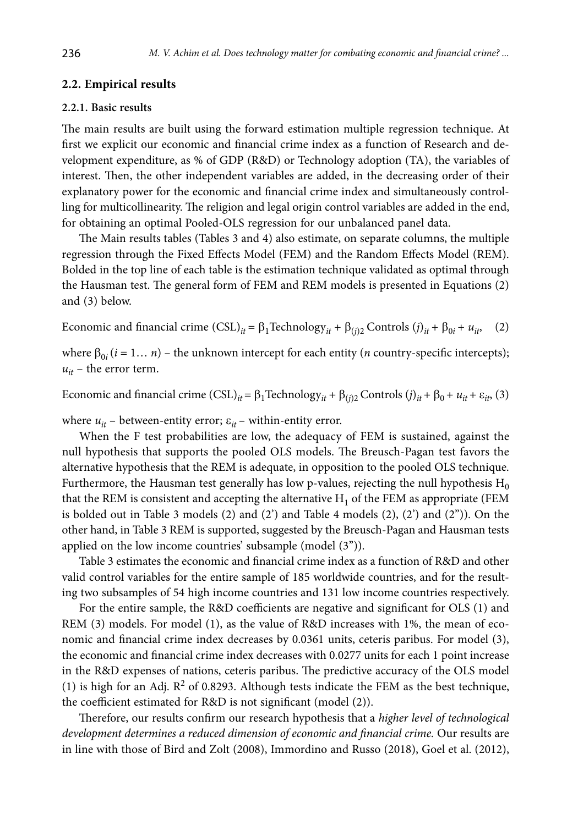### **2.2. Empirical results**

#### **2.2.1. Basic results**

The main results are built using the forward estimation multiple regression technique. At first we explicit our economic and financial crime index as a function of Research and development expenditure, as % of GDP (R&D) or Technology adoption (TA), the variables of interest. Then, the other independent variables are added, in the decreasing order of their explanatory power for the economic and financial crime index and simultaneously controlling for multicollinearity. The religion and legal origin control variables are added in the end, for obtaining an optimal Pooled-OLS regression for our unbalanced panel data.

The Main results tables (Tables 3 and 4) also estimate, on separate columns, the multiple regression through the Fixed Effects Model (FEM) and the Random Effects Model (REM). Bolded in the top line of each table is the estimation technique validated as optimal through the Hausman test. The general form of FEM and REM models is presented in Equations (2) and (3) below.

Economic and financial crime  $(CSL)_{it} = \beta_1 \text{Technology}_{it} + \beta_{(i)2} \text{ controls } (j)_{it} + \beta_{0i} + u_{it}$  (2)

where  $\beta_{0i}$  ( $i = 1... n$ ) – the unknown intercept for each entity (*n* country-specific intercepts);  $u_{it}$  – the error term.

Economic and financial crime  $(CSL)_{it} = \beta_1$ Technology<sub>*it*</sub> +  $\beta_{(i)2}$  Controls  $(j)_{it}$  +  $\beta_0$  +  $u_{it}$  +  $\varepsilon_{it}$ , (3)

where  $u_{it}$  – between-entity error;  $\varepsilon_{it}$  – within-entity error.

When the F test probabilities are low, the adequacy of FEM is sustained, against the null hypothesis that supports the pooled OLS models. The Breusch-Pagan test favors the alternative hypothesis that the REM is adequate, in opposition to the pooled OLS technique. Furthermore, the Hausman test generally has low p-values, rejecting the null hypothesis  $H_0$ that the REM is consistent and accepting the alternative  $H_1$  of the FEM as appropriate (FEM is bolded out in Table 3 models  $(2)$  and  $(2')$  and Table 4 models  $(2)$ ,  $(2')$  and  $(2'')$ ). On the other hand, in Table 3 REM is supported, suggested by the Breusch-Pagan and Hausman tests applied on the low income countries' subsample (model (3'')).

Table 3 estimates the economic and financial crime index as a function of R&D and other valid control variables for the entire sample of 185 worldwide countries, and for the resulting two subsamples of 54 high income countries and 131 low income countries respectively.

For the entire sample, the R&D coefficients are negative and significant for OLS (1) and REM (3) models. For model (1), as the value of R&D increases with 1%, the mean of economic and financial crime index decreases by 0.0361 units, ceteris paribus. For model (3), the economic and financial crime index decreases with 0.0277 units for each 1 point increase in the R&D expenses of nations, ceteris paribus. The predictive accuracy of the OLS model (1) is high for an Adj.  $R^2$  of 0.8293. Although tests indicate the FEM as the best technique, the coefficient estimated for R&D is not significant (model (2)).

Therefore, our results confirm our research hypothesis that a *higher level of technological development determines a reduced dimension of economic and financial crime.* Our results are in line with those of Bird and Zolt (2008), Immordino and Russo (2018), Goel et al. (2012),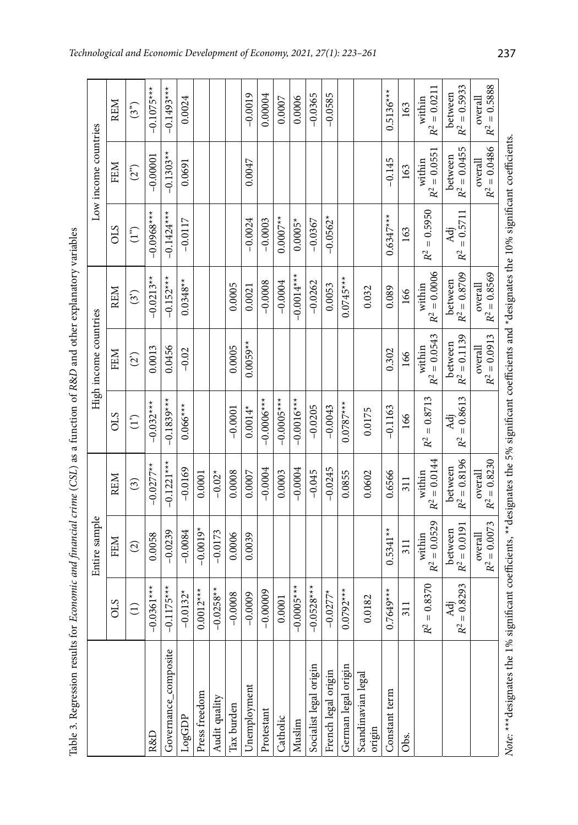| ă                                                                                               |
|-------------------------------------------------------------------------------------------------|
| i<br>i<br>֧֧֧֧֧֧֧ׅ֧֧֧֧ׅ֧֧ׅ֧֧֧֧֧֧֧֧֧֧֧֧֧֧֧֚֚֚֚֚֚֚֚֚֚֚֚֚֚֚֚֚֚֚֚֚֚֚֚֚֚֝֓֝֟֓֝֬֝֓֝֬֜֓֝֬֝֬֜֓֝֬֜֝֬֝֬֝֬ |
| $\ddot{\phantom{a}}$                                                                            |
|                                                                                                 |
| J<br>l                                                                                          |
|                                                                                                 |
|                                                                                                 |
| i<br>l<br>١<br>١                                                                                |
|                                                                                                 |
|                                                                                                 |
|                                                                                                 |
| $\begin{array}{c} \hline \end{array}$<br>I                                                      |
|                                                                                                 |
|                                                                                                 |
| ֖֖֖֖֚֚֚֚֚֚֬<br>I<br>I                                                                           |
|                                                                                                 |
| l<br>Ē<br>ı                                                                                     |

|                                                                                                                                                       |                                    | Entire sample             |                           |                                     | High income countries     |                           |                                     | Low income countries      |                           |
|-------------------------------------------------------------------------------------------------------------------------------------------------------|------------------------------------|---------------------------|---------------------------|-------------------------------------|---------------------------|---------------------------|-------------------------------------|---------------------------|---------------------------|
|                                                                                                                                                       | CLS                                | FEM                       | <b>REM</b>                | STO                                 | FEM                       | <b>REM</b>                | CLS                                 | FEM                       | <b>REM</b>                |
|                                                                                                                                                       | $\widehat{\Xi}$                    | $\widehat{c}$             | $\binom{3}{2}$            | $\binom{1}{1}$                      | (2)                       | (3)                       | (1 <sup>2</sup> )                   | (2 <sup>o</sup> )         | (3 <sup>5</sup> )         |
| R&D                                                                                                                                                   | $-0.0361***$                       | 0.0058                    | $-0.0277**$               | $-0.032***$                         | 0.0013                    | $-0.0213**$               | $-0.0968**$                         | $-0.00001$                | $-0.1075***$              |
| Governance_composite                                                                                                                                  | $-0.1175***$                       | $-0.0239$                 | $-0.1221***$              | $-0.1839***$                        | 0.0456                    | $-0.152***$               | $-0.1424**$                         | $-0.1303**$               | $-0.1493***$              |
| LogGDP                                                                                                                                                | $-0.0132*$                         | $-0.0084$                 | $-0.0169$                 | $0.066***$                          | $-0.02$                   | $0.0348**$                | $-0.0117$                           | 0.0691                    | 0.0024                    |
| Press freedom                                                                                                                                         | $0.0012***$                        | $-0.0019*$                | 0.0001                    |                                     |                           |                           |                                     |                           |                           |
| Audit quality                                                                                                                                         | $-0.0258**$                        | $-0.0173$                 | $-0.02*$                  |                                     |                           |                           |                                     |                           |                           |
| Tax burden                                                                                                                                            | $-0.0008$                          | 0.0006                    | 0.0008                    | $-0.0001$                           | 0.0005                    | 0.0005                    |                                     |                           |                           |
| Jnemployment                                                                                                                                          | $-0.0009$                          | 0.0039                    | 0.0007                    | $0.0014*$                           | $0.0059**$                | 0.0021                    | $-0.0024$                           | 0.0047                    | $-0.0019$                 |
| Protestant                                                                                                                                            | $-0.00009$                         |                           | $-0.0004$                 | $-0.0006$ **                        |                           | $-0.0008$                 | $-0.0003$                           |                           | 0.00004                   |
| Catholic                                                                                                                                              | 0.0001                             |                           | 0.0003                    | $-0.0005***$                        |                           | $-0.0004$                 | $0.0007**$                          |                           | 0.0007                    |
| Muslim                                                                                                                                                | $-0.0005***$                       |                           | $-0.0004$                 | $-0.0016***$                        |                           | $-0.0014***$              | $0.0005*$                           |                           | 0.0006                    |
| Socialist legal origin                                                                                                                                | $-0.0528***$                       |                           | $-0.045$                  | $-0.0205$                           |                           | $-0.0262$                 | $-0.0367$                           |                           | $-0.0365$                 |
| French legal origin                                                                                                                                   | $-0.0277*$                         |                           | $-0.0245$                 | $-0.0043$                           |                           | 0.0053                    | $-0.0562*$                          |                           | $-0.0585$                 |
| German legal origin                                                                                                                                   | $0.0792***$                        |                           | 0.0855                    | $0.0787***$                         |                           | $0.0745***$               |                                     |                           |                           |
| Scandinavian legal<br>origin                                                                                                                          | 0.0182                             |                           | 0.0602                    | 0.0175                              |                           | 0.032                     |                                     |                           |                           |
| Constant term                                                                                                                                         | $.7649***$                         | $0.5341***$               | 0.6566                    | $-0.1163$                           | 0.302                     | 0.089                     | $0.6347***$                         | $-0.145$                  | $0.5136***$               |
| Obs.                                                                                                                                                  | 311                                | 311                       | 311                       | 166                                 | 166                       | 166                       | 163                                 | 163                       | 163                       |
|                                                                                                                                                       | $= 0.8370$<br>R <sup>2</sup>       | $R^2 = 0.0529$<br>within  | $R^2 = 0.0144$<br>within  | $R^2 = 0.8713$                      | $R^2 = 0.0543$<br>within  | $R^2 = 0.0006$<br>within  | $= 0.5950$<br>R <sup>2</sup>        | $R^2 = 0.0551$<br>within  | $R^2 = 0.0211$<br>within  |
|                                                                                                                                                       | $= 0.8293$<br>Åä<br>$\mathbb{R}^2$ | $R^2 = 0.0191$<br>between | $R^2 = 0.8196$<br>between | $= 0.8613$<br>Adj<br>R <sup>2</sup> | $R^2 = 0.1139$<br>between | $R^2 = 0.8709$<br>between | $= 0.5711$<br>Adi<br>R <sup>2</sup> | $R^2 = 0.0455$<br>between | $R^2 = 0.5933$<br>between |
|                                                                                                                                                       |                                    | $R^2 = 0.0073$<br>overall | $R^2 = 0.8230$<br>overall |                                     | $R^2 = 0.0913$<br>overall | $R^2 = 0.8569$<br>overall |                                     | $R^2 = 0.0486$<br>overall | $R^2=0.5888$<br>overall   |
| Note: *** designates the 1% significant coefficients, ** designates the 5% significant coefficients and *designates the 10% significant coefficients. |                                    |                           |                           |                                     |                           |                           |                                     |                           |                           |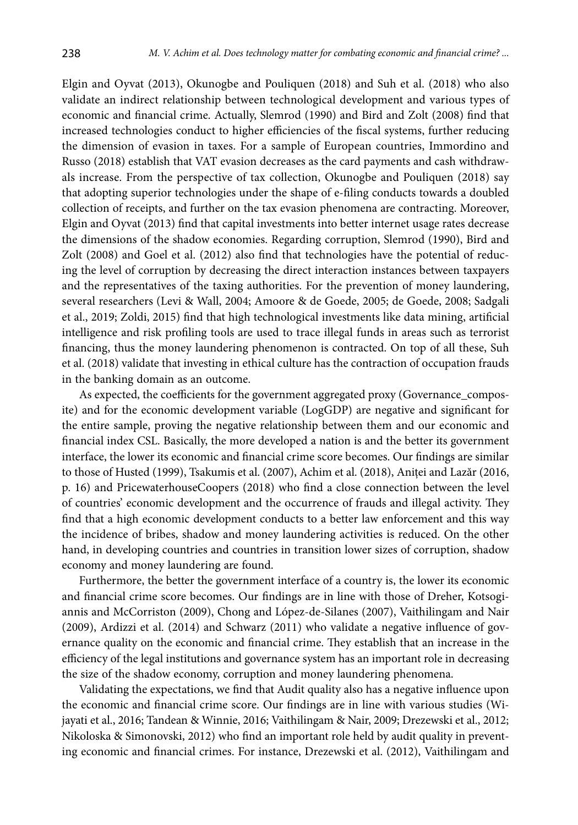Elgin and Oyvat (2013), Okunogbe and Pouliquen (2018) and Suh et al. (2018) who also validate an indirect relationship between technological development and various types of economic and financial crime. Actually, Slemrod (1990) and Bird and Zolt (2008) find that increased technologies conduct to higher efficiencies of the fiscal systems, further reducing the dimension of evasion in taxes. For a sample of European countries, Immordino and Russo (2018) establish that VAT evasion decreases as the card payments and cash withdrawals increase. From the perspective of tax collection, Okunogbe and Pouliquen (2018) say that adopting superior technologies under the shape of e-filing conducts towards a doubled collection of receipts, and further on the tax evasion phenomena are contracting. Moreover, Elgin and Oyvat (2013) find that capital investments into better internet usage rates decrease the dimensions of the shadow economies. Regarding corruption, Slemrod (1990), Bird and Zolt (2008) and Goel et al. (2012) also find that technologies have the potential of reducing the level of corruption by decreasing the direct interaction instances between taxpayers and the representatives of the taxing authorities. For the prevention of money laundering, several researchers (Levi & Wall, 2004; Amoore & de Goede, 2005; de Goede, 2008; Sadgali et al., 2019; Zoldi, 2015) find that high technological investments like data mining, artificial intelligence and risk profiling tools are used to trace illegal funds in areas such as terrorist financing, thus the money laundering phenomenon is contracted. On top of all these, Suh et al. (2018) validate that investing in ethical culture has the contraction of occupation frauds in the banking domain as an outcome.

As expected, the coefficients for the government aggregated proxy (Governance\_composite) and for the economic development variable (LogGDP) are negative and significant for the entire sample, proving the negative relationship between them and our economic and financial index CSL. Basically, the more developed a nation is and the better its government interface, the lower its economic and financial crime score becomes. Our findings are similar to those of Husted (1999), Tsakumis et al. (2007), Achim et al. (2018), Aniței and Lazăr (2016, p. 16) and PricewaterhouseCoopers (2018) who find a close connection between the level of countries' economic development and the occurrence of frauds and illegal activity. They find that a high economic development conducts to a better law enforcement and this way the incidence of bribes, shadow and money laundering activities is reduced. On the other hand, in developing countries and countries in transition lower sizes of corruption, shadow economy and money laundering are found.

Furthermore, the better the government interface of a country is, the lower its economic and financial crime score becomes. Our findings are in line with those of Dreher, Kotsogiannis and McCorriston (2009), Chong and López-de-Silanes (2007), Vaithilingam and Nair (2009), Ardizzi et al. (2014) and Schwarz (2011) who validate a negative influence of governance quality on the economic and financial crime. They establish that an increase in the efficiency of the legal institutions and governance system has an important role in decreasing the size of the shadow economy, corruption and money laundering phenomena.

Validating the expectations, we find that Audit quality also has a negative influence upon the economic and financial crime score. Our findings are in line with various studies (Wijayati et al., 2016; Tandean & Winnie, 2016; Vaithilingam & Nair, 2009; Drezewski et al., 2012; Nikoloska & Simonovski, 2012) who find an important role held by audit quality in preventing economic and financial crimes. For instance, Drezewski et al. (2012), Vaithilingam and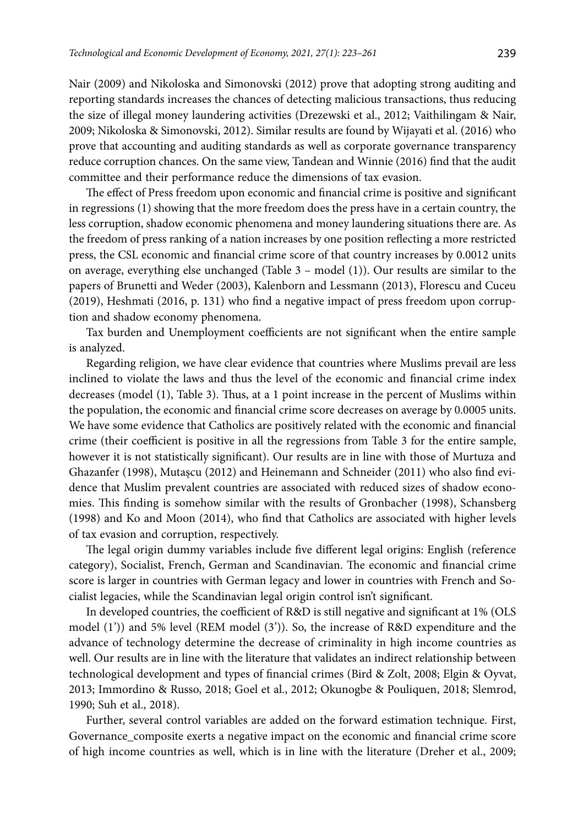Nair (2009) and Nikoloska and Simonovski (2012) prove that adopting strong auditing and reporting standards increases the chances of detecting malicious transactions, thus reducing the size of illegal money laundering activities (Drezewski et al., 2012; Vaithilingam & Nair, 2009; Nikoloska & Simonovski, 2012). Similar results are found by Wijayati et al. (2016) who prove that accounting and auditing standards as well as corporate governance transparency reduce corruption chances. On the same view, Tandean and Winnie (2016) find that the audit committee and their performance reduce the dimensions of tax evasion.

The effect of Press freedom upon economic and financial crime is positive and significant in regressions (1) showing that the more freedom does the press have in a certain country, the less corruption, shadow economic phenomena and money laundering situations there are. As the freedom of press ranking of a nation increases by one position reflecting a more restricted press, the CSL economic and financial crime score of that country increases by 0.0012 units on average, everything else unchanged (Table 3 – model (1)). Our results are similar to the papers of Brunetti and Weder (2003), Kalenborn and Lessmann (2013), Florescu and Cuceu (2019), Heshmati (2016, p. 131) who find a negative impact of press freedom upon corruption and shadow economy phenomena.

Tax burden and Unemployment coefficients are not significant when the entire sample is analyzed.

Regarding religion, we have clear evidence that countries where Muslims prevail are less inclined to violate the laws and thus the level of the economic and financial crime index decreases (model (1), Table 3). Thus, at a 1 point increase in the percent of Muslims within the population, the economic and financial crime score decreases on average by 0.0005 units. We have some evidence that Catholics are positively related with the economic and financial crime (their coefficient is positive in all the regressions from Table 3 for the entire sample, however it is not statistically significant). Our results are in line with those of Murtuza and Ghazanfer (1998), Mutașcu (2012) and Heinemann and Schneider (2011) who also find evidence that Muslim prevalent countries are associated with reduced sizes of shadow economies. This finding is somehow similar with the results of Gronbacher (1998), Schansberg (1998) and Ko and Moon (2014), who find that Catholics are associated with higher levels of tax evasion and corruption, respectively.

The legal origin dummy variables include five different legal origins: English (reference category), Socialist, French, German and Scandinavian. The economic and financial crime score is larger in countries with German legacy and lower in countries with French and Socialist legacies, while the Scandinavian legal origin control isn't significant.

In developed countries, the coefficient of R&D is still negative and significant at 1% (OLS model  $(1')$ ) and 5% level (REM model  $(3')$ ). So, the increase of R&D expenditure and the advance of technology determine the decrease of criminality in high income countries as well. Our results are in line with the literature that validates an indirect relationship between technological development and types of financial crimes (Bird & Zolt, 2008; Elgin & Oyvat, 2013; Immordino & Russo, 2018; Goel et al., 2012; Okunogbe & Pouliquen, 2018; Slemrod, 1990; Suh et al., 2018).

Further, several control variables are added on the forward estimation technique. First, Governance\_composite exerts a negative impact on the economic and financial crime score of high income countries as well, which is in line with the literature (Dreher et al., 2009;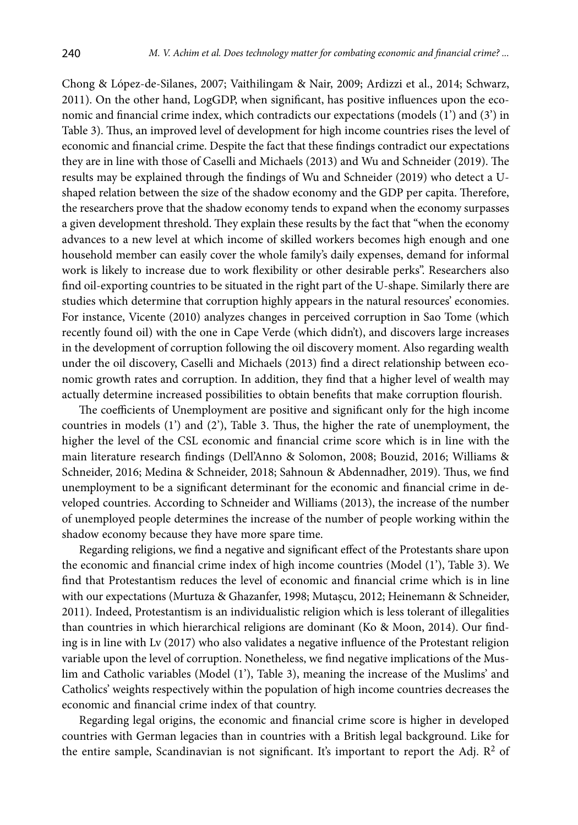Chong & López-de-Silanes, 2007; Vaithilingam & Nair, 2009; Ardizzi et al., 2014; Schwarz, 2011). On the other hand, LogGDP, when significant, has positive influences upon the economic and financial crime index, which contradicts our expectations (models (1') and (3') in Table 3). Thus, an improved level of development for high income countries rises the level of economic and financial crime. Despite the fact that these findings contradict our expectations they are in line with those of Caselli and Michaels (2013) and Wu and Schneider (2019). The results may be explained through the findings of Wu and Schneider (2019) who detect a Ushaped relation between the size of the shadow economy and the GDP per capita. Therefore, the researchers prove that the shadow economy tends to expand when the economy surpasses a given development threshold. They explain these results by the fact that "when the economy advances to a new level at which income of skilled workers becomes high enough and one household member can easily cover the whole family's daily expenses, demand for informal work is likely to increase due to work flexibility or other desirable perks". Researchers also find oil-exporting countries to be situated in the right part of the U-shape. Similarly there are studies which determine that corruption highly appears in the natural resources' economies. For instance, Vicente (2010) analyzes changes in perceived corruption in Sao Tome (which recently found oil) with the one in Cape Verde (which didn't), and discovers large increases in the development of corruption following the oil discovery moment. Also regarding wealth under the oil discovery, Caselli and Michaels (2013) find a direct relationship between economic growth rates and corruption. In addition, they find that a higher level of wealth may actually determine increased possibilities to obtain benefits that make corruption flourish.

The coefficients of Unemployment are positive and significant only for the high income countries in models (1') and (2'), Table 3. Thus, the higher the rate of unemployment, the higher the level of the CSL economic and financial crime score which is in line with the main literature research findings (Dell'Anno & Solomon, 2008; Bouzid, 2016; Williams & Schneider, 2016; Medina & Schneider, 2018; Sahnoun & Abdennadher, 2019). Thus, we find unemployment to be a significant determinant for the economic and financial crime in developed countries. According to Schneider and Williams (2013), the increase of the number of unemployed people determines the increase of the number of people working within the shadow economy because they have more spare time.

Regarding religions, we find a negative and significant effect of the Protestants share upon the economic and financial crime index of high income countries (Model (1'), Table 3). We find that Protestantism reduces the level of economic and financial crime which is in line with our expectations (Murtuza & Ghazanfer, 1998; Mutașcu, 2012; Heinemann & Schneider, 2011). Indeed, Protestantism is an individualistic religion which is less tolerant of illegalities than countries in which hierarchical religions are dominant (Ko & Moon, 2014). Our finding is in line with Lv (2017) who also validates a negative influence of the Protestant religion variable upon the level of corruption. Nonetheless, we find negative implications of the Muslim and Catholic variables (Model (1'), Table 3), meaning the increase of the Muslims' and Catholics' weights respectively within the population of high income countries decreases the economic and financial crime index of that country.

Regarding legal origins, the economic and financial crime score is higher in developed countries with German legacies than in countries with a British legal background. Like for the entire sample, Scandinavian is not significant. It's important to report the Adj.  $\mathbb{R}^2$  of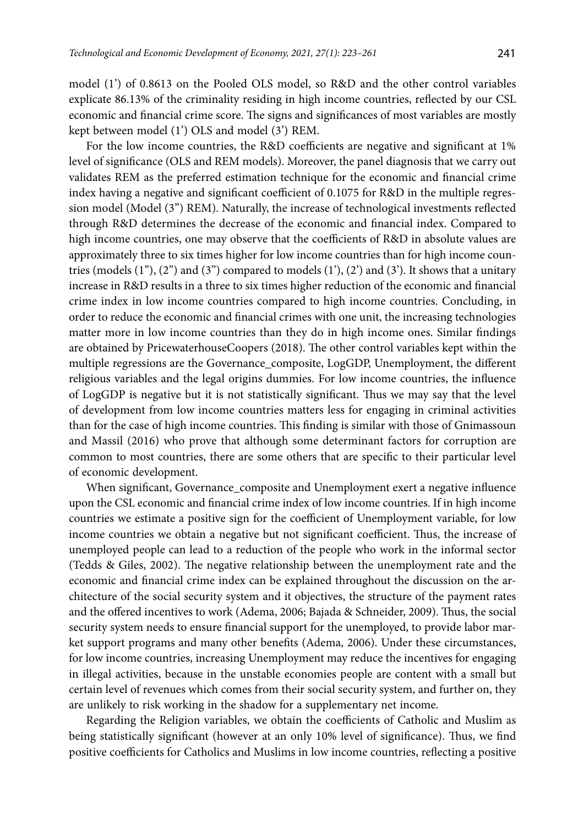model (1') of 0.8613 on the Pooled OLS model, so R&D and the other control variables explicate 86.13% of the criminality residing in high income countries, reflected by our CSL economic and financial crime score. The signs and significances of most variables are mostly kept between model (1') OLS and model (3') REM.

For the low income countries, the R&D coefficients are negative and significant at 1% level of significance (OLS and REM models). Moreover, the panel diagnosis that we carry out validates REM as the preferred estimation technique for the economic and financial crime index having a negative and significant coefficient of 0.1075 for R&D in the multiple regression model (Model (3") REM). Naturally, the increase of technological investments reflected through R&D determines the decrease of the economic and financial index. Compared to high income countries, one may observe that the coefficients of R&D in absolute values are approximately three to six times higher for low income countries than for high income countries (models  $(1'')$ ,  $(2'')$  and  $(3'')$  compared to models  $(1')$ ,  $(2')$  and  $(3')$ . It shows that a unitary increase in R&D results in a three to six times higher reduction of the economic and financial crime index in low income countries compared to high income countries. Concluding, in order to reduce the economic and financial crimes with one unit, the increasing technologies matter more in low income countries than they do in high income ones. Similar findings are obtained by PricewaterhouseCoopers (2018). The other control variables kept within the multiple regressions are the Governance\_composite, LogGDP, Unemployment, the different religious variables and the legal origins dummies. For low income countries, the influence of LogGDP is negative but it is not statistically significant. Thus we may say that the level of development from low income countries matters less for engaging in criminal activities than for the case of high income countries. This finding is similar with those of Gnimassoun and Massil (2016) who prove that although some determinant factors for corruption are common to most countries, there are some others that are specific to their particular level of economic development.

When significant, Governance\_composite and Unemployment exert a negative influence upon the CSL economic and financial crime index of low income countries. If in high income countries we estimate a positive sign for the coefficient of Unemployment variable, for low income countries we obtain a negative but not significant coefficient. Thus, the increase of unemployed people can lead to a reduction of the people who work in the informal sector (Tedds & Giles, 2002). The negative relationship between the unemployment rate and the economic and financial crime index can be explained throughout the discussion on the architecture of the social security system and it objectives, the structure of the payment rates and the offered incentives to work (Adema, 2006; Bajada & Schneider, 2009). Thus, the social security system needs to ensure financial support for the unemployed, to provide labor market support programs and many other benefits (Adema, 2006). Under these circumstances, for low income countries, increasing Unemployment may reduce the incentives for engaging in illegal activities, because in the unstable economies people are content with a small but certain level of revenues which comes from their social security system, and further on, they are unlikely to risk working in the shadow for a supplementary net income.

Regarding the Religion variables, we obtain the coefficients of Catholic and Muslim as being statistically significant (however at an only 10% level of significance). Thus, we find positive coefficients for Catholics and Muslims in low income countries, reflecting a positive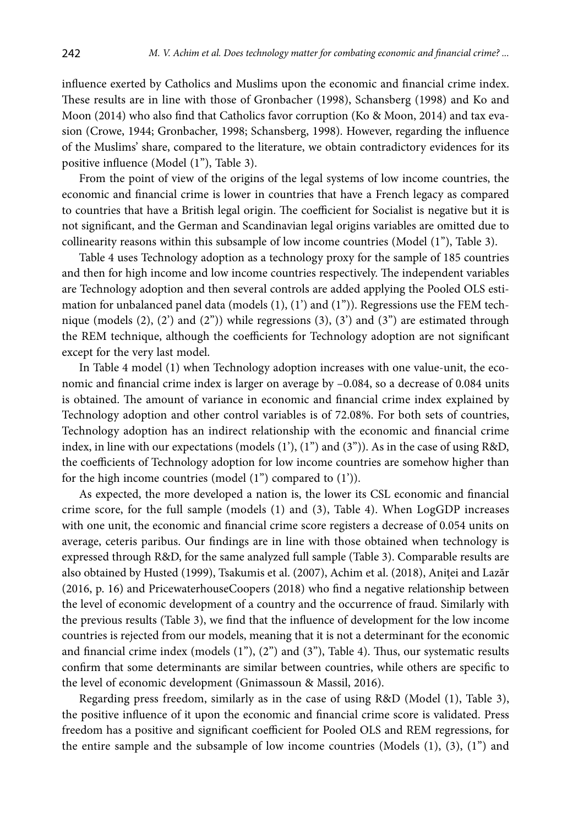influence exerted by Catholics and Muslims upon the economic and financial crime index. These results are in line with those of Gronbacher (1998), Schansberg (1998) and Ko and Moon (2014) who also find that Catholics favor corruption (Ko & Moon, 2014) and tax evasion (Crowe, 1944; Gronbacher, 1998; Schansberg, 1998). However, regarding the influence of the Muslims' share, compared to the literature, we obtain contradictory evidences for its positive influence (Model (1"), Table 3).

From the point of view of the origins of the legal systems of low income countries, the economic and financial crime is lower in countries that have a French legacy as compared to countries that have a British legal origin. The coefficient for Socialist is negative but it is not significant, and the German and Scandinavian legal origins variables are omitted due to collinearity reasons within this subsample of low income countries (Model (1''), Table 3).

Table 4 uses Technology adoption as a technology proxy for the sample of 185 countries and then for high income and low income countries respectively. The independent variables are Technology adoption and then several controls are added applying the Pooled OLS estimation for unbalanced panel data (models (1), (1') and (1")). Regressions use the FEM technique (models  $(2)$ ,  $(2')$  and  $(2'')$ ) while regressions  $(3)$ ,  $(3')$  and  $(3'')$  are estimated through the REM technique, although the coefficients for Technology adoption are not significant except for the very last model.

In Table 4 model (1) when Technology adoption increases with one value-unit, the economic and financial crime index is larger on average by –0.084, so a decrease of 0.084 units is obtained. The amount of variance in economic and financial crime index explained by Technology adoption and other control variables is of 72.08%. For both sets of countries, Technology adoption has an indirect relationship with the economic and financial crime index, in line with our expectations (models  $(1')$ ,  $(1'')$  and  $(3'')$ ). As in the case of using R&D, the coefficients of Technology adoption for low income countries are somehow higher than for the high income countries (model (1") compared to (1')).

As expected, the more developed a nation is, the lower its CSL economic and financial crime score, for the full sample (models (1) and (3), Table 4). When LogGDP increases with one unit, the economic and financial crime score registers a decrease of 0.054 units on average, ceteris paribus. Our findings are in line with those obtained when technology is expressed through R&D, for the same analyzed full sample (Table 3). Comparable results are also obtained by Husted (1999), Tsakumis et al. (2007), Achim et al. (2018), Aniței and Lazăr (2016, p. 16) and PricewaterhouseCoopers (2018) who find a negative relationship between the level of economic development of a country and the occurrence of fraud. Similarly with the previous results (Table 3), we find that the influence of development for the low income countries is rejected from our models, meaning that it is not a determinant for the economic and financial crime index (models  $(1<sup>n</sup>), (2<sup>n</sup>)$  and  $(3<sup>n</sup>),$  Table 4). Thus, our systematic results confirm that some determinants are similar between countries, while others are specific to the level of economic development (Gnimassoun & Massil, 2016).

Regarding press freedom, similarly as in the case of using R&D (Model (1), Table 3), the positive influence of it upon the economic and financial crime score is validated. Press freedom has a positive and significant coefficient for Pooled OLS and REM regressions, for the entire sample and the subsample of low income countries (Models  $(1)$ ,  $(3)$ ,  $(1)$ <sup>n</sup>) and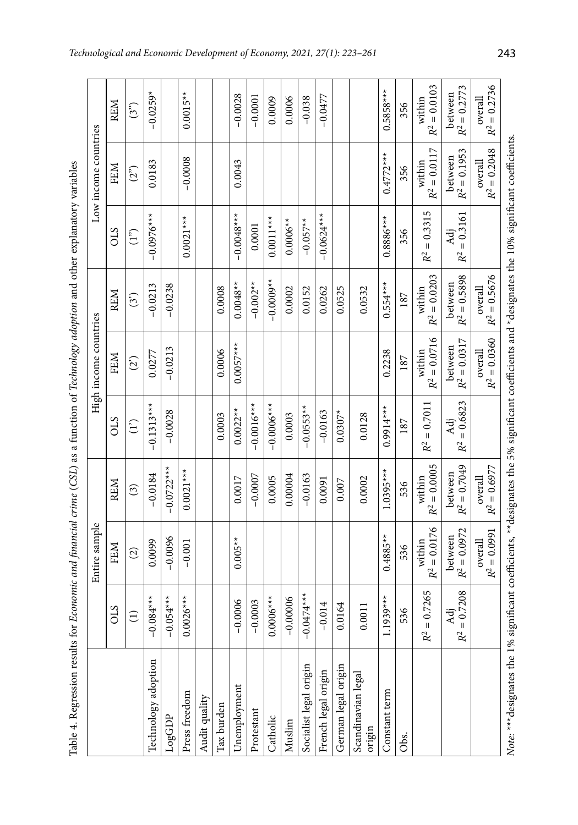| ֖֖֖֖֖֖ׅׅ֖֖֧֚֚֚֚֚֚֚֚֚֚֚֚֚֚֚֚֚֚֚֚֚֚֚֚֚֚֚֚֚֬֝֬֓֡֞֝ |  |
|-------------------------------------------------|--|
|                                                 |  |
|                                                 |  |
|                                                 |  |
|                                                 |  |
| <b>Continued</b>                                |  |
|                                                 |  |
|                                                 |  |
|                                                 |  |
|                                                 |  |
|                                                 |  |
| i                                               |  |
|                                                 |  |
|                                                 |  |
|                                                 |  |
|                                                 |  |
|                                                 |  |
|                                                 |  |
|                                                 |  |
|                                                 |  |
|                                                 |  |
|                                                 |  |
|                                                 |  |
|                                                 |  |
|                                                 |  |
| ۱                                               |  |
|                                                 |  |
|                                                 |  |
|                                                 |  |
|                                                 |  |
| $\overline{a}$<br>l                             |  |
|                                                 |  |
|                                                 |  |
|                                                 |  |
|                                                 |  |
|                                                 |  |
|                                                 |  |
|                                                 |  |
|                                                 |  |
|                                                 |  |
|                                                 |  |
|                                                 |  |
|                                                 |  |
|                                                 |  |
|                                                 |  |
| $\overline{\phantom{a}}$                        |  |
|                                                 |  |
|                                                 |  |
|                                                 |  |
|                                                 |  |
|                                                 |  |
|                                                 |  |
|                                                 |  |
|                                                 |  |
|                                                 |  |
|                                                 |  |
|                                                 |  |
|                                                 |  |
|                                                 |  |
|                                                 |  |
|                                                 |  |
|                                                 |  |
|                                                 |  |
|                                                 |  |
| $\begin{array}{c} \hline \end{array}$           |  |
|                                                 |  |
|                                                 |  |
|                                                 |  |
|                                                 |  |
|                                                 |  |
|                                                 |  |
| i                                               |  |
|                                                 |  |
|                                                 |  |
|                                                 |  |
|                                                 |  |
|                                                 |  |
|                                                 |  |
| I<br>l                                          |  |
|                                                 |  |
|                                                 |  |
| 1<br>į<br>$\overline{\phantom{a}}$              |  |

| Table 4. Regression results for                                                                                                                        |                                | Economic and financial crime (CSL) as a function of Technology adoption and other explanatory variables |                              |                                    |                           |                           |                                    |                           |                           |
|--------------------------------------------------------------------------------------------------------------------------------------------------------|--------------------------------|---------------------------------------------------------------------------------------------------------|------------------------------|------------------------------------|---------------------------|---------------------------|------------------------------------|---------------------------|---------------------------|
|                                                                                                                                                        |                                | Entire sample                                                                                           |                              |                                    | High income countries     |                           |                                    | Low income countries      |                           |
|                                                                                                                                                        | <b>CTO</b>                     | FEM                                                                                                     | <b>REM</b>                   | CLS                                | FEM                       | <b>REM</b>                | CLS                                | FEM                       | <b>REM</b>                |
|                                                                                                                                                        | $\widehat{E}$                  | $\widehat{c}$                                                                                           | $\binom{3}{2}$               | $\binom{1}{1}$                     | (2)                       | $\binom{3}{2}$            | (1")                               | (2 <sup>2</sup> )         | (3")                      |
| Technology adoption                                                                                                                                    | $-0.084**$                     | 0.0099                                                                                                  | $-0.0184$                    | $-0.1313**$                        | 0.0277                    | $-0.0213$                 | $-0.0976***$                       | 0.0183                    | $-0.0259*$                |
| LogGDP                                                                                                                                                 | $-0.054***$                    | $-0.0096$                                                                                               | $-0.0722***$                 | $-0.0028$                          | $-0.0213$                 | $-0.0238$                 |                                    |                           |                           |
| Press freedom                                                                                                                                          | $0.0026***$                    | $-0.001$                                                                                                | $0.0021***$                  |                                    |                           |                           | $0.0021***$                        | $-0.0008$                 | $0.0015**$                |
| Audit quality                                                                                                                                          |                                |                                                                                                         |                              |                                    |                           |                           |                                    |                           |                           |
| Tax burden                                                                                                                                             |                                |                                                                                                         |                              | 0.0003                             | 0.0006                    | 0.0008                    |                                    |                           |                           |
| Unemployment                                                                                                                                           | 0.0006<br>ī                    | $0.005**$                                                                                               | 0.0017                       | $0.0022**$                         | $0.0057***$               | $0.0048**$                | $-0.0048***$                       | 0.0043                    | $-0.0028$                 |
| Protestant                                                                                                                                             | 0.0003<br>$\mathbf{I}$         |                                                                                                         | $-0.0007$                    | $-0.0016$ **                       |                           | $-0.002**$                | 0.0001                             |                           | $-0.0001$                 |
| Catholic                                                                                                                                               | $0.0006***$                    |                                                                                                         | 0.0005                       | $-0.0000$                          |                           | $-0.0009**$               | $0.0011***$                        |                           | 0.0009                    |
| Muslim                                                                                                                                                 | $-0.00006$                     |                                                                                                         | 0.00004                      | 0.0003                             |                           | 0.0002                    | $0.0006**$                         |                           | 0.0006                    |
| Socialist legal origin                                                                                                                                 | $-0.0474**$                    |                                                                                                         | $-0.0163$                    | $-0.0553**$                        |                           | 0.0152                    | $-0.057**$                         |                           | $-0.038$                  |
| French legal origin                                                                                                                                    | $-0.014$                       |                                                                                                         | 0.0091                       | $-0.0163$                          |                           | 0.0262                    | $-0.0624***$                       |                           | $-0.0477$                 |
| German legal origin                                                                                                                                    | .0164<br>0                     |                                                                                                         | 0.007                        | $0.0307*$                          |                           | 0.0525                    |                                    |                           |                           |
| Scandinavian legal<br>origin                                                                                                                           | .0011                          |                                                                                                         | 0.0002                       | 0.0128                             |                           | 0.0532                    |                                    |                           |                           |
| Constant term                                                                                                                                          | $939***$<br>Ξ                  | $0.4885**$                                                                                              | $1.0395***$                  | $0.9914***$                        | 0.2238                    | $0.554***$                | $0.8886***$                        | $0.4772***$               | $0.5858***$               |
| Obs.                                                                                                                                                   | 536                            | 536                                                                                                     | 536                          | 187                                | 187                       | 187                       | 356                                | 356                       | 356                       |
|                                                                                                                                                        | $= 0.7265$<br>R <sup>2</sup>   | $R^2 = 0.0176$<br>within                                                                                | $R^2 = 0.0005$<br>within     | $= 0.7011$<br>$\mathbb{R}^2$       | $R^2=0.0716$<br>within    | $R^2 = 0.0203$<br>within  | $= 0.3315$<br>R <sup>2</sup>       | $R^2=0.0117$<br>within    | $R^2 = 0.0103$<br>within  |
|                                                                                                                                                        | $= 0.7208$<br>Adj<br>$\rm R^2$ | between<br>$R^2 = 0.0972$                                                                               | $R^2 = 0.7049$<br>between    | $= 0.6823$<br>Ää<br>$\mathbb{R}^2$ | between<br>$R^2 = 0.0317$ | $R^2 = 0.5898$<br>between | $= 0.3161$<br>Ää<br>$\mathbb{R}^2$ | $R^2 = 0.1953$<br>between | $R^2 = 0.2773$<br>between |
|                                                                                                                                                        |                                | $R^2 = 0.0991$<br>overall                                                                               | $R^2 = 0.6977$<br>$over all$ |                                    | $R^2 = 0.0360$<br>overall | $R^2 = 0.5676$<br>overall |                                    | $R^2 = 0.2048$<br>overall | $R^2 = 0.2736$<br>overall |
| Note: *** designates the 1% significant coefficients, ** designates the 5% significant coefficients and * designates the 10% significant coefficients. |                                |                                                                                                         |                              |                                    |                           |                           |                                    |                           |                           |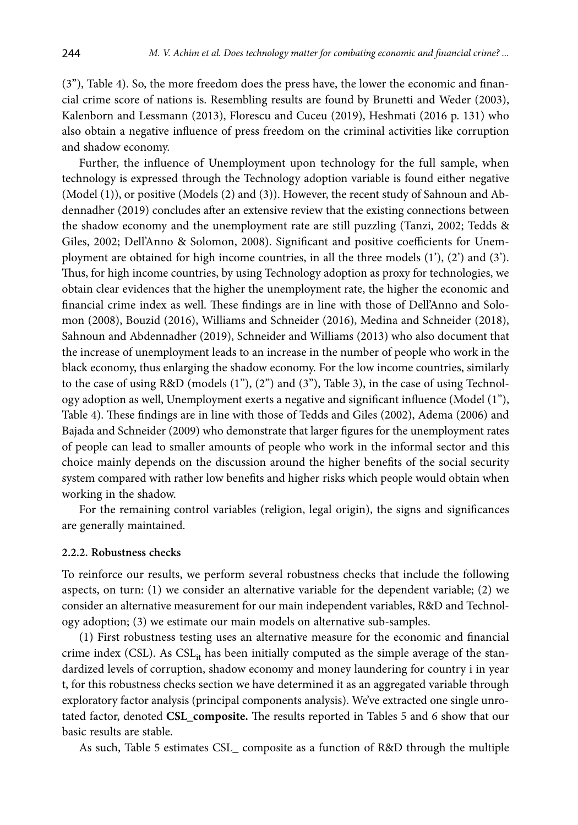(3"), Table 4). So, the more freedom does the press have, the lower the economic and financial crime score of nations is. Resembling results are found by Brunetti and Weder (2003), Kalenborn and Lessmann (2013), Florescu and Cuceu (2019), Heshmati (2016 p. 131) who also obtain a negative influence of press freedom on the criminal activities like corruption and shadow economy.

Further, the influence of Unemployment upon technology for the full sample, when technology is expressed through the Technology adoption variable is found either negative (Model (1)), or positive (Models (2) and (3)). However, the recent study of Sahnoun and Abdennadher (2019) concludes after an extensive review that the existing connections between the shadow economy and the unemployment rate are still puzzling (Tanzi, 2002; Tedds & Giles, 2002; Dell'Anno & Solomon, 2008). Significant and positive coefficients for Unemployment are obtained for high income countries, in all the three models  $(1')$ ,  $(2')$  and  $(3')$ . Thus, for high income countries, by using Technology adoption as proxy for technologies, we obtain clear evidences that the higher the unemployment rate, the higher the economic and financial crime index as well. These findings are in line with those of Dell'Anno and Solomon (2008), Bouzid (2016), Williams and Schneider (2016), Medina and Schneider (2018), Sahnoun and Abdennadher (2019), Schneider and Williams (2013) who also document that the increase of unemployment leads to an increase in the number of people who work in the black economy, thus enlarging the shadow economy. For the low income countries, similarly to the case of using R&D (models (1"), (2") and (3"), Table 3), in the case of using Technology adoption as well, Unemployment exerts a negative and significant influence (Model (1"), Table 4). These findings are in line with those of Tedds and Giles (2002), Adema (2006) and Bajada and Schneider (2009) who demonstrate that larger figures for the unemployment rates of people can lead to smaller amounts of people who work in the informal sector and this choice mainly depends on the discussion around the higher benefits of the social security system compared with rather low benefits and higher risks which people would obtain when working in the shadow.

For the remaining control variables (religion, legal origin), the signs and significances are generally maintained.

#### **2.2.2. Robustness checks**

To reinforce our results, we perform several robustness checks that include the following aspects, on turn: (1) we consider an alternative variable for the dependent variable; (2) we consider an alternative measurement for our main independent variables, R&D and Technology adoption; (3) we estimate our main models on alternative sub-samples.

(1) First robustness testing uses an alternative measure for the economic and financial crime index (CSL). As  $CSL_{it}$  has been initially computed as the simple average of the standardized levels of corruption, shadow economy and money laundering for country i in year t, for this robustness checks section we have determined it as an aggregated variable through exploratory factor analysis (principal components analysis). We've extracted one single unrotated factor, denoted **CSL\_composite.** The results reported in Tables 5 and 6 show that our basic results are stable.

As such, Table 5 estimates CSL\_ composite as a function of R&D through the multiple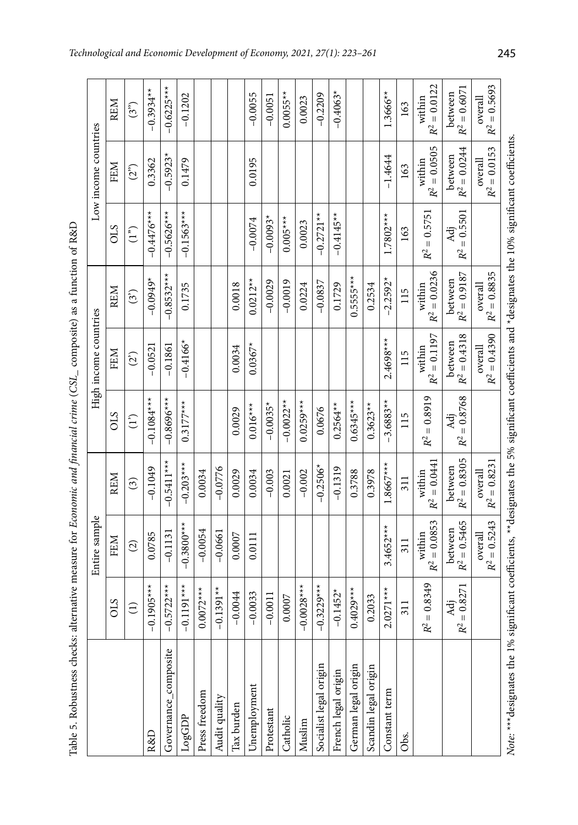| ļ<br>$\begin{array}{c} \hline \end{array}$<br>l<br>ı<br>i |
|-----------------------------------------------------------|
| ļ<br>i<br>١<br>j                                          |
|                                                           |
|                                                           |
|                                                           |
| ţ<br>l                                                    |
|                                                           |
| i                                                         |
|                                                           |
| $\overline{\phantom{a}}$<br>$\mathfrak{g}$                |
| $\overline{1}$<br>ەللە<br>j                               |

| Table 5. Robustness checks: alternative measure for Economic and financial crime (CSL_ composite) as a function of R&D                              |                                     |                           |                           |                              |                           |                           |                      |                           |                           |
|-----------------------------------------------------------------------------------------------------------------------------------------------------|-------------------------------------|---------------------------|---------------------------|------------------------------|---------------------------|---------------------------|----------------------|---------------------------|---------------------------|
|                                                                                                                                                     |                                     | Entire sample             |                           |                              | High income countries     |                           |                      | Low income countries      |                           |
|                                                                                                                                                     | STO                                 | FEM                       | <b>REM</b>                | <b>CIS</b>                   | FEM                       | REM                       | CIS                  | FEM                       | <b>REM</b>                |
|                                                                                                                                                     | $\widehat{E}$                       | $\widehat{c}$             | $\binom{3}{2}$            | $\binom{1}{1}$               | (2)                       | $\binom{3}{3}$            | (1 <sup>2</sup> )    | (2 <sup>o</sup> )         | (3 <sup>n</sup> )         |
| R&D                                                                                                                                                 | $.1905***$<br>$\overline{0}$        | 0.0785                    | $-0.1049$                 | $-0.1084***$                 | $-0.0521$                 | $-0.0949*$                | $-0.4476***$         | 0.3362                    | $-0.3934**$               |
| Governance_composite                                                                                                                                | $-0.5722***$                        | $-0.1131$                 | $-0.5411$ **              | $-0.8696**$                  | $-0.1861$                 | $-0.8532***$              | $-0.5626***$         | $-0.5923*$                | $-0.6225***$              |
| LogGDP                                                                                                                                              | $-0.1191$ ***                       | $-0.3800$ **              | $-0.203$ ***              | $0.3177***$                  | $-0.4166*$                | 0.1735                    | $-0.1563***$         | 0.1479                    | $-0.1202$                 |
| Press freedom                                                                                                                                       | $0072***$<br>$\bar{\circ}$          | $-0.0054$                 | 0.0034                    |                              |                           |                           |                      |                           |                           |
| Audit quality                                                                                                                                       | $-0.1391**$                         | $-0.0661$                 | $-0.0776$                 |                              |                           |                           |                      |                           |                           |
| Tax burden                                                                                                                                          | $-0.0044$                           | 0.0007                    | 0.0029                    | 0.0029                       | 0.0034                    | 0.0018                    |                      |                           |                           |
| Unemployment                                                                                                                                        | $-0.0033$                           | 0.0111                    | 0.0034                    | $0.016***$                   | $0.0367*$                 | $0.0212***$               | $-0.0074$            | 0.0195                    | $-0.0055$                 |
| Protestant                                                                                                                                          | $-0.0011$                           |                           | $-0.003$                  | $-0.0035*$                   |                           | $-0.0029$                 | $-0.0093*$           |                           | $-0.0051$                 |
| Catholic                                                                                                                                            | 0.0007                              |                           | 0.0021                    | $-0.0022**$                  |                           | $-0.0019$                 | $0.005***$           |                           | $0.0055**$                |
| Muslim                                                                                                                                              | $-0.0028***$                        |                           | $-0.002$                  | $0.0259***$                  |                           | 0.0224                    | 0.0023               |                           | 0.0023                    |
| Socialist legal origin                                                                                                                              | $-0.3229***$                        |                           | $-0.2506*$                | 0.0676                       |                           | $-0.0837$                 | $-0.2721**$          |                           | $-0.2209$                 |
| French legal origin                                                                                                                                 | $-0.1452*$                          |                           | $-0.1319$                 | $0.2564***$                  |                           | 0.1729                    | $-0.4145**$          |                           | $-0.4063*$                |
| German legal origin                                                                                                                                 | $0.4029***$                         |                           | 0.3788                    | $0.6345***$                  |                           | $0.5555***$               |                      |                           |                           |
| Scandin legal origin                                                                                                                                | 0.2033                              |                           | 0.3978                    | $0.3623**$                   |                           | 0.2534                    |                      |                           |                           |
| Constant term                                                                                                                                       | $2.0271***$                         | $3.4652***$               | $1.8667***$               | $-3.6883**$                  | 2.4698***                 | $-2.2592*$                | $1.7802***$          | $-1.4644$                 | 1.3666**                  |
| Obs.                                                                                                                                                | 311                                 | 311                       | 311                       | 115                          | 115                       | 115                       | 163                  | 163                       | 163                       |
|                                                                                                                                                     | $= 0.8349$<br>$\mathbf{R}^2$        | $R^2 = 0.0853$<br>within  | $R^2 = 0.0441$<br>within  | $= 0.8919$<br>R <sup>2</sup> | $R^2 = 0.1197$<br>within  | $R^2 = 0.0236$<br>within  | $R^2 = 0.5751$       | $R^2 = 0.0505$<br>within  | $R^2 = 0.0122$<br>within  |
|                                                                                                                                                     | $= 0.8271$<br>Adj<br>$\mathbb{R}^2$ | between<br>$R^2 = 0.5465$ | $R^2 = 0.8305$<br>between | $= 0.8768$<br>Åä<br>$R^2$    | between<br>$R^2 = 0.4318$ | $R^2 = 0.9187$<br>between | $R^2 = 0.5501$<br>Åä | $R^2 = 0.0244$<br>between | $R^2 = 0.6071$<br>between |
|                                                                                                                                                     |                                     | $R^2 = 0.5243$<br>overall | $R^2 = 0.8231$<br>overall |                              | overall<br>$R^2 = 0.4390$ | $R^2 = 0.8835$<br>overall |                      | overall<br>$R^2 = 0.0153$ | $R^2 = 0.5693$<br>overall |
| Note: ***designates the 1% significant coefficients, **designates the 5% significant coefficients and *designates the 10% significant coefficients. |                                     |                           |                           |                              |                           |                           |                      |                           |                           |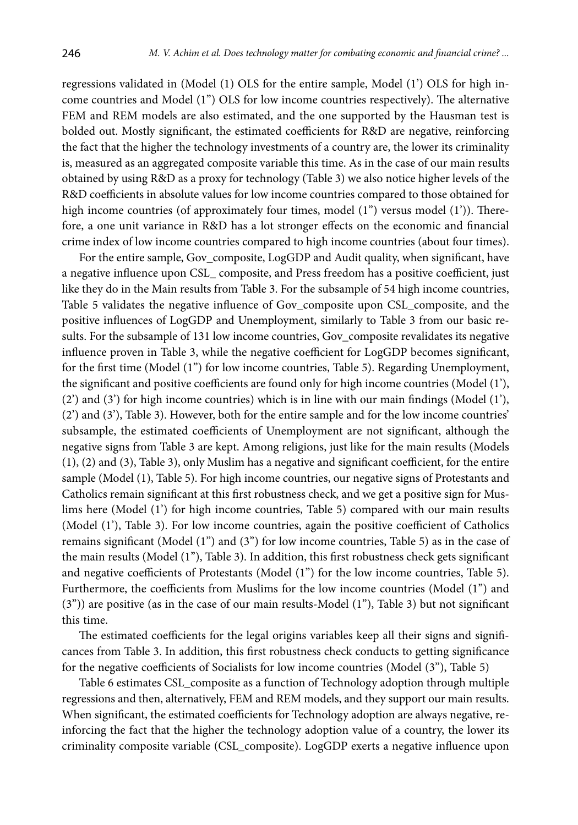regressions validated in (Model (1) OLS for the entire sample, Model (1') OLS for high income countries and Model (1'') OLS for low income countries respectively). The alternative FEM and REM models are also estimated, and the one supported by the Hausman test is bolded out. Mostly significant, the estimated coefficients for R&D are negative, reinforcing the fact that the higher the technology investments of a country are, the lower its criminality is, measured as an aggregated composite variable this time. As in the case of our main results obtained by using R&D as a proxy for technology (Table 3) we also notice higher levels of the R&D coefficients in absolute values for low income countries compared to those obtained for high income countries (of approximately four times, model (1") versus model (1')). Therefore, a one unit variance in R&D has a lot stronger effects on the economic and financial crime index of low income countries compared to high income countries (about four times).

For the entire sample, Gov\_composite, LogGDP and Audit quality, when significant, have a negative influence upon CSL\_ composite, and Press freedom has a positive coefficient, just like they do in the Main results from Table 3. For the subsample of 54 high income countries, Table 5 validates the negative influence of Gov\_composite upon CSL\_composite, and the positive influences of LogGDP and Unemployment, similarly to Table 3 from our basic results. For the subsample of 131 low income countries, Gov\_composite revalidates its negative influence proven in Table 3, while the negative coefficient for LogGDP becomes significant, for the first time (Model (1'') for low income countries, Table 5). Regarding Unemployment, the significant and positive coefficients are found only for high income countries (Model (1'),  $(2')$  and  $(3')$  for high income countries) which is in line with our main findings (Model  $(1')$ , (2') and (3'), Table 3). However, both for the entire sample and for the low income countries' subsample, the estimated coefficients of Unemployment are not significant, although the negative signs from Table 3 are kept. Among religions, just like for the main results (Models (1), (2) and (3), Table 3), only Muslim has a negative and significant coefficient, for the entire sample (Model (1), Table 5). For high income countries, our negative signs of Protestants and Catholics remain significant at this first robustness check, and we get a positive sign for Muslims here (Model (1') for high income countries, Table 5) compared with our main results (Model (1'), Table 3). For low income countries, again the positive coefficient of Catholics remains significant (Model (1'') and (3") for low income countries, Table 5) as in the case of the main results (Model (1''), Table 3). In addition, this first robustness check gets significant and negative coefficients of Protestants (Model (1") for the low income countries, Table 5). Furthermore, the coefficients from Muslims for the low income countries (Model (1'') and (3")) are positive (as in the case of our main results-Model (1''), Table 3) but not significant this time.

The estimated coefficients for the legal origins variables keep all their signs and significances from Table 3. In addition, this first robustness check conducts to getting significance for the negative coefficients of Socialists for low income countries (Model (3"), Table 5)

Table 6 estimates CSL\_composite as a function of Technology adoption through multiple regressions and then, alternatively, FEM and REM models, and they support our main results. When significant, the estimated coefficients for Technology adoption are always negative, reinforcing the fact that the higher the technology adoption value of a country, the lower its criminality composite variable (CSL\_composite). LogGDP exerts a negative influence upon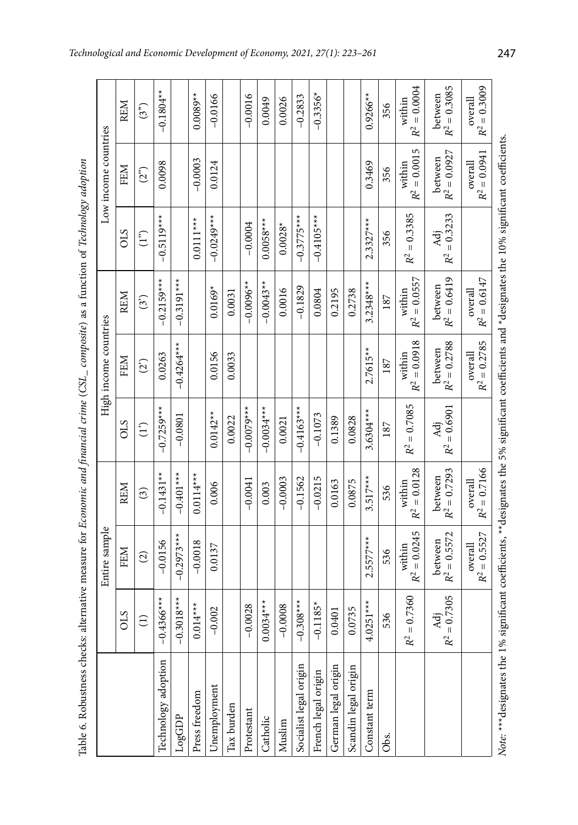| i<br>ì                                  |
|-----------------------------------------|
|                                         |
|                                         |
|                                         |
|                                         |
|                                         |
| i<br>$\begin{array}{c} \end{array}$     |
|                                         |
| $\overline{\phantom{a}}$                |
|                                         |
|                                         |
| ׇ֘֝֬֝                                   |
|                                         |
|                                         |
|                                         |
|                                         |
|                                         |
|                                         |
|                                         |
|                                         |
|                                         |
|                                         |
|                                         |
|                                         |
|                                         |
|                                         |
|                                         |
| $\begin{array}{c} \end{array}$          |
| I                                       |
| j                                       |
|                                         |
|                                         |
|                                         |
| $\vdots$                                |
|                                         |
|                                         |
|                                         |
|                                         |
|                                         |
|                                         |
|                                         |
|                                         |
|                                         |
|                                         |
|                                         |
|                                         |
|                                         |
|                                         |
|                                         |
|                                         |
|                                         |
|                                         |
|                                         |
| $\overline{\phantom{a}}$<br>l           |
|                                         |
| l                                       |
|                                         |
|                                         |
|                                         |
|                                         |
|                                         |
|                                         |
|                                         |
|                                         |
|                                         |
|                                         |
|                                         |
|                                         |
| j                                       |
|                                         |
|                                         |
|                                         |
|                                         |
|                                         |
|                                         |
|                                         |
|                                         |
|                                         |
|                                         |
|                                         |
|                                         |
|                                         |
|                                         |
|                                         |
| Í                                       |
|                                         |
| 1                                       |
| $\overline{\phantom{a}}$<br>j<br>ć<br>í |

| Table 6. Robustness checks: alternative measure for <i>Economic and financial crime</i> (CSL_composite) as a function of <i>Technology adoption</i>  |                                 |                                        |                                        |                       |                           |                           |                       |                           |                           |
|------------------------------------------------------------------------------------------------------------------------------------------------------|---------------------------------|----------------------------------------|----------------------------------------|-----------------------|---------------------------|---------------------------|-----------------------|---------------------------|---------------------------|
|                                                                                                                                                      |                                 | Entire sample                          |                                        |                       | High income countries     |                           |                       | Low income countries      |                           |
|                                                                                                                                                      | <b>CTO</b>                      | FEM                                    | <b>REM</b>                             | STO                   | <b>FEM</b>                | <b>REM</b>                | CLS                   | FEM                       | <b>REM</b>                |
|                                                                                                                                                      |                                 | $\widehat{\omega}$                     | $\odot$                                | $\binom{1}{1}$        | (2)                       | (3)                       | (1 <sup>n</sup> )     | $(2^{2})$                 | (3 <sup>5</sup> )         |
| Technology adoption                                                                                                                                  | $-0.4366***$                    | $-0.0156$                              | $-0.1431**$                            | $-0.7259***$          | 0.0263                    | $-0.2159***$              | $-0.5119***$          | 0.0098                    | $-0.1804**$               |
| LogGDP                                                                                                                                               | $-0.3018***$                    | $-0.2973***$                           | $-0.401***$                            | $-0.0801$             | $-0.4264***$              | $-0.3191***$              |                       |                           |                           |
| Press freedom                                                                                                                                        | $4***$<br>0.01                  | $-0.0018$                              | $0.0114***$                            |                       |                           |                           | $0.0111***$           | $-0.0003$                 | $0.0089**$                |
| Unemployment                                                                                                                                         | 002<br>$\tilde{\varphi}$        | 0.0137                                 | 0.006                                  | $0.0142**$            | 0.0156                    | $0.0169*$                 | $-0.0249***$          | 0.0124                    | $-0.0166$                 |
| Tax burden                                                                                                                                           |                                 |                                        |                                        | 0.0022                | 0.0033                    | 0.0031                    |                       |                           |                           |
| Protestant                                                                                                                                           | $-0.0028$                       |                                        | $-0.0041$                              | $-0.007$              |                           | $-0.0096**$               | $-0.0004$             |                           | $-0.0016$                 |
| Catholic                                                                                                                                             | $0.0034***$                     |                                        | 0.003                                  | $-0.0034***$          |                           | $-0.0043**$               | $0.0058***$           |                           | 0.0049                    |
| Muslim                                                                                                                                               | $-0.0008$                       |                                        | $-0.0003$                              | 0.0021                |                           | 0.0016                    | $0.0028*$             |                           | 0.0026                    |
| Socialist legal origin                                                                                                                               | $08***$<br>$-0.30$              |                                        | $-0.1562$                              | $-0.4163***$          |                           | $-0.1829$                 | $-0.3775***$          |                           | $-0.2833$                 |
| French legal origin                                                                                                                                  | $185*$<br>$-0.1$                |                                        | $-0.0215$                              | $-0.1073$             |                           | 0.0804                    | $-0.4105***$          |                           | $-0.3356*$                |
| German legal origin                                                                                                                                  | 0.0401                          |                                        | 0.0163                                 | 0.1389                |                           | 0.2195                    |                       |                           |                           |
| Scandin legal origin                                                                                                                                 | 0.0735                          |                                        | 0.0875                                 | 0.0828                |                           | 0.2738                    |                       |                           |                           |
| Constant term                                                                                                                                        | $4.0251***$                     | $2.5577***$                            | $3.517***$                             | $3.6304***$           | $2.7615**$                | $3.2348***$               | $2.3327***$           | 0.3469                    | $0.9266**$                |
| Obs.                                                                                                                                                 | 536                             | 536                                    | 536                                    | 187                   | 187                       | 187                       | 356                   | 356                       | 356                       |
|                                                                                                                                                      | $= 0.7360$<br>R <sup>2</sup>    | $= 0.0245$<br>within<br>R <sup>2</sup> | $= 0.0128$<br>within<br>R <sup>2</sup> | $R^2 = 0.7085$        | $R^2 = 0.0918$<br>within  | $R^2 = 0.0557$<br>within  | $R^2 = 0.3385$        | $R^2 = 0.0015$<br>within  | $R^2 = 0.0004$<br>within  |
|                                                                                                                                                      | 0.7305<br>'ਚੋ<br>⋖<br>$R^2 = 0$ | $R^2 = 0.5572$<br>between              | between<br>$R^2 = 0.7293$              | $R^2 = 0.6901$<br>Adj | $R^2 = 0.2788$<br>between | between<br>$R^2 = 0.6419$ | $R^2 = 0.3233$<br>Adj | between<br>$R^2 = 0.0927$ | $R^2 = 0.3085$<br>between |
|                                                                                                                                                      |                                 | $R^2 = 0.5527$<br>overall              | $R^2 = 0.7166$<br>overall              |                       | $R^2 = 0.2785$<br>overall | $R^2 = 0.6147$<br>overall |                       | $R^2=0.0941$<br>overall   | $R^2 = 0.3009$<br>overall |
| Note: *** designates the 1% significant coefficients, **designates the 5% significant coefficients and *designates the 10% significant coefficients. |                                 |                                        |                                        |                       |                           |                           |                       |                           |                           |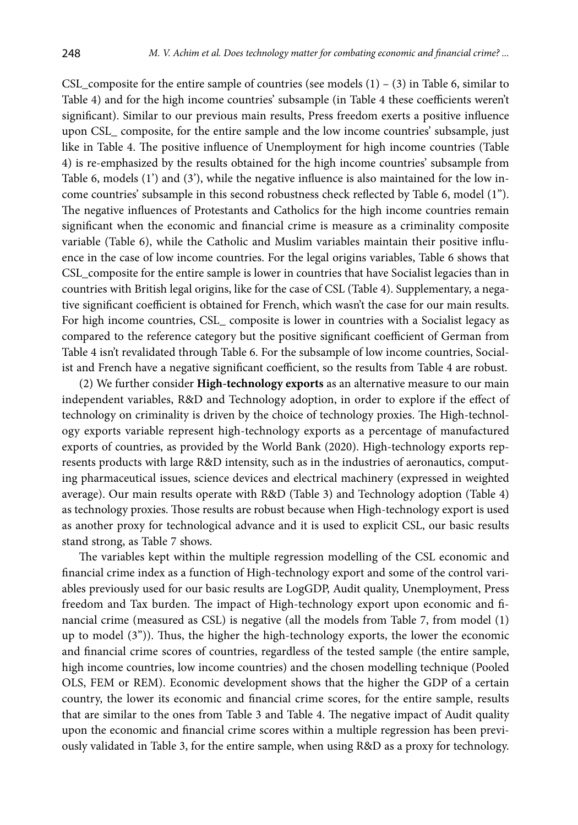CSL\_composite for the entire sample of countries (see models  $(1) - (3)$  in Table 6, similar to Table 4) and for the high income countries' subsample (in Table 4 these coefficients weren't significant). Similar to our previous main results, Press freedom exerts a positive influence upon CSL\_ composite, for the entire sample and the low income countries' subsample, just like in Table 4. The positive influence of Unemployment for high income countries (Table 4) is re-emphasized by the results obtained for the high income countries' subsample from Table 6, models  $(1')$  and  $(3')$ , while the negative influence is also maintained for the low income countries' subsample in this second robustness check reflected by Table 6, model (1"). The negative influences of Protestants and Catholics for the high income countries remain significant when the economic and financial crime is measure as a criminality composite variable (Table 6), while the Catholic and Muslim variables maintain their positive influence in the case of low income countries. For the legal origins variables, Table 6 shows that CSL\_composite for the entire sample is lower in countries that have Socialist legacies than in countries with British legal origins, like for the case of CSL (Table 4). Supplementary, a negative significant coefficient is obtained for French, which wasn't the case for our main results. For high income countries, CSL\_ composite is lower in countries with a Socialist legacy as compared to the reference category but the positive significant coefficient of German from Table 4 isn't revalidated through Table 6. For the subsample of low income countries, Socialist and French have a negative significant coefficient, so the results from Table 4 are robust.

(2) We further consider **High-technology exports** as an alternative measure to our main independent variables, R&D and Technology adoption, in order to explore if the effect of technology on criminality is driven by the choice of technology proxies. The High-technology exports variable represent high-technology exports as a percentage of manufactured exports of countries, as provided by the World Bank (2020). High-technology exports represents products with large R&D intensity, such as in the industries of aeronautics, computing pharmaceutical issues, science devices and electrical machinery (expressed in weighted average). Our main results operate with R&D (Table 3) and Technology adoption (Table 4) as technology proxies. Those results are robust because when High-technology export is used as another proxy for technological advance and it is used to explicit CSL, our basic results stand strong, as Table 7 shows.

The variables kept within the multiple regression modelling of the CSL economic and financial crime index as a function of High-technology export and some of the control variables previously used for our basic results are LogGDP, Audit quality, Unemployment, Press freedom and Tax burden. The impact of High-technology export upon economic and financial crime (measured as CSL) is negative (all the models from Table 7, from model (1) up to model (3")). Thus, the higher the high-technology exports, the lower the economic and financial crime scores of countries, regardless of the tested sample (the entire sample, high income countries, low income countries) and the chosen modelling technique (Pooled OLS, FEM or REM). Economic development shows that the higher the GDP of a certain country, the lower its economic and financial crime scores, for the entire sample, results that are similar to the ones from Table 3 and Table 4. The negative impact of Audit quality upon the economic and financial crime scores within a multiple regression has been previously validated in Table 3, for the entire sample, when using R&D as a proxy for technology.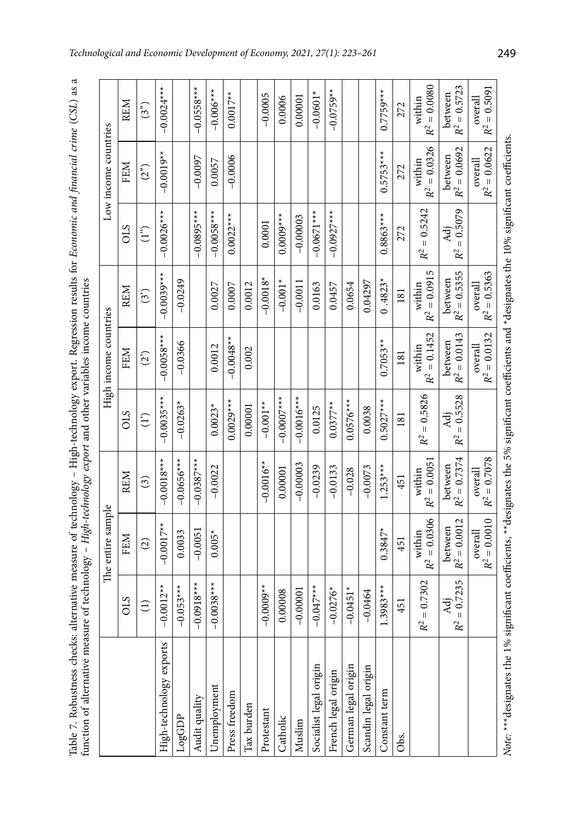| function of alternative measure of technology - High-technology export and other variables income countries<br>Table 7. Robustness checks: al         |                              |                                         |                           | ternative measure of technology - High-technology export. Regression results for Economic and financial crime (CSL) as a |                           |                           |                            |                           |                                        |
|-------------------------------------------------------------------------------------------------------------------------------------------------------|------------------------------|-----------------------------------------|---------------------------|--------------------------------------------------------------------------------------------------------------------------|---------------------------|---------------------------|----------------------------|---------------------------|----------------------------------------|
|                                                                                                                                                       |                              | The entire sample                       |                           |                                                                                                                          | High income countries     |                           |                            | Low income countries      |                                        |
|                                                                                                                                                       | CLS                          | FEM                                     | <b>REM</b>                | CLS                                                                                                                      | <b>FEM</b>                | REM                       | CLS                        | FEM                       | REM                                    |
|                                                                                                                                                       | $\widehat{\Xi}$              | $\widehat{\omega}$                      | $\widehat{\mathcal{E}}$   | $\binom{1}{1}$                                                                                                           | (2)                       | $\binom{3}{3}$            | (1 <sup>5</sup> )          | (2 <sup>2</sup> )         | (3 <sup>n</sup> )                      |
| High-technology exports                                                                                                                               | $-0.0012**$                  | $-0.0017**$                             | $-0.0018***$              | $-0.0035***$                                                                                                             | $-0.0058***$              | $-0.0039**$               | $-0.0026***$               | $-0.0019**$               | $-0.0024***$                           |
| LogGDP                                                                                                                                                | $-0.053***$                  | 0.0033                                  | $-0.0656***$              | $-0.0263*$                                                                                                               | $-0.0366$                 | $-0.0249$                 |                            |                           |                                        |
| Audit quality                                                                                                                                         | $0.0918***$<br>ī             | $-0.0051$                               | $-0.0387***$              |                                                                                                                          |                           |                           | $-0.0895***$               | $-0.0097$                 | $-0.0558***$                           |
| <b><i><u>Jnemployment</u></i></b>                                                                                                                     | $-0.0038***$                 | $0.005*$                                | $-0.0022$                 | $0.0023*$                                                                                                                | 0.0012                    | 0.0027                    | $-0.0058***$               | 0.0057                    | $-0.006$ ***                           |
| Press freedom                                                                                                                                         |                              |                                         |                           | $0.0029***$                                                                                                              | $-0.0048**$               | 0.0007                    | $0.0022***$                | $-0.0006$                 | $0.0017**$                             |
| Tax burden                                                                                                                                            |                              |                                         |                           | 0.00001                                                                                                                  | 0.002                     | 0.0012                    |                            |                           |                                        |
| Protestant                                                                                                                                            | $-0.0009**$                  |                                         | $-0.0016**$               | $-0.001**$                                                                                                               |                           | $-0.0018*$                | 0.0001                     |                           | $-0.0005$                              |
| Catholic                                                                                                                                              | 0.00008                      |                                         | 0.00001                   | $-0.0007$ ***                                                                                                            |                           | $-0.001*$                 | $0.0008**$                 |                           | 0.0006                                 |
| Muslim                                                                                                                                                | $-0.00001$                   |                                         | $-0.00003$                | $-0.0016***$                                                                                                             |                           | $-0.0011$                 | $-0.00003$                 |                           | 0.00001                                |
| Socialist legal origin                                                                                                                                | $-0.047**$                   |                                         | $-0.0239$                 | 0.0125                                                                                                                   |                           | 0.0163                    | $-0.0671***$               |                           | $-0.0601*$                             |
| French legal origin                                                                                                                                   | $-0.0276*$                   |                                         | $-0.0133$                 | $0.0377**$                                                                                                               |                           | 0.0457                    | $-0.0927$ ***              |                           | $-0.0759**$                            |
| German legal origin                                                                                                                                   | $-0.0451*$                   |                                         | $-0.028$                  | $0.0576***$                                                                                                              |                           | 0.0654                    |                            |                           |                                        |
| Scandin legal origin                                                                                                                                  | $-0.0464$                    |                                         | $-0.0073$                 | 0.0038                                                                                                                   |                           | 0.04297                   |                            |                           |                                        |
| Constant term                                                                                                                                         | $.3983***$                   | $0.3847*$                               | $1.253***$                | $0.5027***$                                                                                                              | $0.7053**$                | $0.4823*$                 | $0.8863***$                | $0.5753***$               | $0.7759***$                            |
| Obs.                                                                                                                                                  | 451                          | 451                                     | 451                       | 181                                                                                                                      | 181                       | 181                       | 272                        | 272                       | 272                                    |
|                                                                                                                                                       | $= 0.7302$<br>R <sup>2</sup> | $R^2 = 0.0306$<br>within                | $R^2 = 0.0051$<br>within  | $= 0.5826$<br>$R^2$                                                                                                      | $R^2 = 0.1452$<br>within  | $R^2 = 0.0915$<br>within  | $= 0.5242$<br>$R^2$        | $R^2 = 0.0326$<br>within  | $= 0.0080$<br>within<br>R <sup>2</sup> |
|                                                                                                                                                       | $= 0.7235$<br>Adj<br>$R^2$   | $R^2 = 0.0012$<br>between               | $R^2 = 0.7374$<br>between | $= 0.5528$<br>Adj<br>$R^2$                                                                                               | $R^2 = 0.0143$<br>between | $R^2 = 0.5355$<br>between | $= 0.5079$<br>Adj<br>$R^2$ | $R^2 = 0.0692$<br>between | $R^2 = 0.5723$<br>between              |
|                                                                                                                                                       |                              | $= 0.0010$<br>overall<br>R <sup>2</sup> | $R^2=0.7078$<br>overall   |                                                                                                                          | $R^2 = 0.0132$<br>overall | $R^2 = 0.5363$<br>overall |                            | $R^2 = 0.0622$<br>overall | $R^2 = 0.5091$<br>overall              |
| Note: *** designates the 1% significant coefficients, ** designates the 5% significant coefficients and *designates the 10% significant coefficients. |                              |                                         |                           |                                                                                                                          |                           |                           |                            |                           |                                        |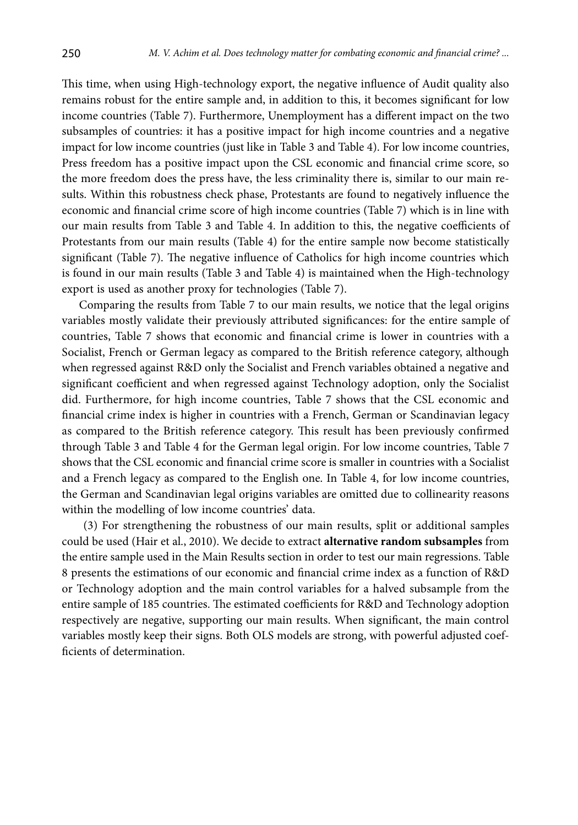This time, when using High-technology export, the negative influence of Audit quality also remains robust for the entire sample and, in addition to this, it becomes significant for low income countries (Table 7). Furthermore, Unemployment has a different impact on the two subsamples of countries: it has a positive impact for high income countries and a negative impact for low income countries (just like in Table 3 and Table 4). For low income countries, Press freedom has a positive impact upon the CSL economic and financial crime score, so the more freedom does the press have, the less criminality there is, similar to our main results. Within this robustness check phase, Protestants are found to negatively influence the economic and financial crime score of high income countries (Table 7) which is in line with our main results from Table 3 and Table 4. In addition to this, the negative coefficients of Protestants from our main results (Table 4) for the entire sample now become statistically significant (Table 7). The negative influence of Catholics for high income countries which is found in our main results (Table 3 and Table 4) is maintained when the High-technology export is used as another proxy for technologies (Table 7).

Comparing the results from Table 7 to our main results, we notice that the legal origins variables mostly validate their previously attributed significances: for the entire sample of countries, Table 7 shows that economic and financial crime is lower in countries with a Socialist, French or German legacy as compared to the British reference category, although when regressed against R&D only the Socialist and French variables obtained a negative and significant coefficient and when regressed against Technology adoption, only the Socialist did. Furthermore, for high income countries, Table 7 shows that the CSL economic and financial crime index is higher in countries with a French, German or Scandinavian legacy as compared to the British reference category. This result has been previously confirmed through Table 3 and Table 4 for the German legal origin. For low income countries, Table 7 shows that the CSL economic and financial crime score is smaller in countries with a Socialist and a French legacy as compared to the English one. In Table 4, for low income countries, the German and Scandinavian legal origins variables are omitted due to collinearity reasons within the modelling of low income countries' data.

 (3) For strengthening the robustness of our main results, split or additional samples could be used (Hair et al., 2010). We decide to extract **alternative random subsamples** from the entire sample used in the Main Results section in order to test our main regressions. Table 8 presents the estimations of our economic and financial crime index as a function of R&D or Technology adoption and the main control variables for a halved subsample from the entire sample of 185 countries. The estimated coefficients for R&D and Technology adoption respectively are negative, supporting our main results. When significant, the main control variables mostly keep their signs. Both OLS models are strong, with powerful adjusted coefficients of determination.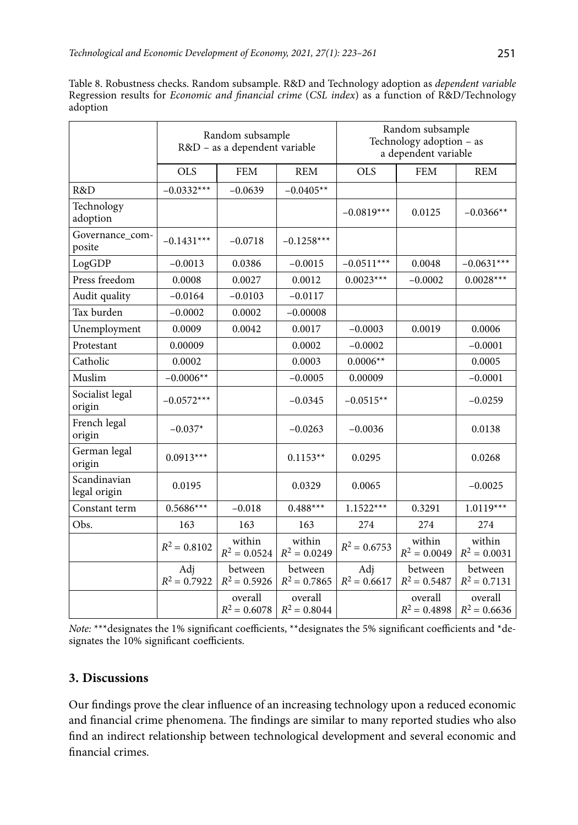| Table 8. Robustness checks. Random subsample. R&D and Technology adoption as <i>dependent variable</i>         |  |  |  |  |  |  |
|----------------------------------------------------------------------------------------------------------------|--|--|--|--|--|--|
| Regression results for <i>Economic and financial crime</i> (CSL <i>index</i> ) as a function of R&D/Technology |  |  |  |  |  |  |
| adoption                                                                                                       |  |  |  |  |  |  |

|                              |                       | Random subsample<br>R&D - as a dependent variable |                           |                       | Random subsample<br>Technology adoption - as<br>a dependent variable |                           |
|------------------------------|-----------------------|---------------------------------------------------|---------------------------|-----------------------|----------------------------------------------------------------------|---------------------------|
|                              | <b>OLS</b>            | <b>FEM</b>                                        | <b>REM</b>                | <b>OLS</b>            | <b>FEM</b>                                                           | <b>REM</b>                |
| R&D                          | $-0.0332***$          | $-0.0639$                                         | $-0.0405**$               |                       |                                                                      |                           |
| Technology<br>adoption       |                       |                                                   |                           | $-0.0819***$          | 0.0125                                                               | $-0.0366**$               |
| Governance_com-<br>posite    | $-0.1431***$          | $-0.0718$                                         | $-0.1258***$              |                       |                                                                      |                           |
| LogGDP                       | $-0.0013$             | 0.0386                                            | $-0.0015$                 | $-0.0511***$          | 0.0048                                                               | $-0.0631***$              |
| Press freedom                | 0.0008                | 0.0027                                            | 0.0012                    | $0.0023***$           | $-0.0002$                                                            | $0.0028***$               |
| Audit quality                | $-0.0164$             | $-0.0103$                                         | $-0.0117$                 |                       |                                                                      |                           |
| Tax burden                   | $-0.0002$             | 0.0002                                            | $-0.00008$                |                       |                                                                      |                           |
| Unemployment                 | 0.0009                | 0.0042                                            | 0.0017                    | $-0.0003$             | 0.0019                                                               | 0.0006                    |
| Protestant                   | 0.00009               |                                                   | 0.0002                    | $-0.0002$             |                                                                      | $-0.0001$                 |
| Catholic                     | 0.0002                |                                                   | 0.0003                    | $0.0006**$            |                                                                      | 0.0005                    |
| Muslim                       | $-0.0006**$           |                                                   | $-0.0005$                 | 0.00009               |                                                                      | $-0.0001$                 |
| Socialist legal<br>origin    | $-0.0572***$          |                                                   | $-0.0345$                 | $-0.0515**$           |                                                                      | $-0.0259$                 |
| French legal<br>origin       | $-0.037*$             |                                                   | $-0.0263$                 | $-0.0036$             |                                                                      | 0.0138                    |
| German legal<br>origin       | $0.0913***$           |                                                   | $0.1153**$                | 0.0295                |                                                                      | 0.0268                    |
| Scandinavian<br>legal origin | 0.0195                |                                                   | 0.0329                    | 0.0065                |                                                                      | $-0.0025$                 |
| Constant term                | $0.5686***$           | $-0.018$                                          | $0.488***$                | $1.1522***$           | 0.3291                                                               | $1.0119***$               |
| Obs.                         | 163                   | 163                                               | 163                       | 274                   | 274                                                                  | 274                       |
|                              | $R^2 = 0.8102$        | within<br>$R^2 = 0.0524$                          | within<br>$R^2 = 0.0249$  | $R^2 = 0.6753$        | within<br>$R^2 = 0.0049$                                             | within<br>$R^2 = 0.0031$  |
|                              | Adj<br>$R^2 = 0.7922$ | between<br>$R^2 = 0.5926$                         | between<br>$R^2 = 0.7865$ | Adj<br>$R^2 = 0.6617$ | between<br>$R^2 = 0.5487$                                            | between<br>$R^2 = 0.7131$ |
|                              |                       | overall<br>$R^2 = 0.6078$                         | overall<br>$R^2 = 0.8044$ |                       | overall<br>$R^2 = 0.4898$                                            | overall<br>$R^2 = 0.6636$ |

*Note:* \*\*\*designates the 1% significant coefficients, \*\*designates the 5% significant coefficients and \*designates the 10% significant coefficients.

### **3. Discussions**

Our findings prove the clear influence of an increasing technology upon a reduced economic and financial crime phenomena. The findings are similar to many reported studies who also find an indirect relationship between technological development and several economic and financial crimes.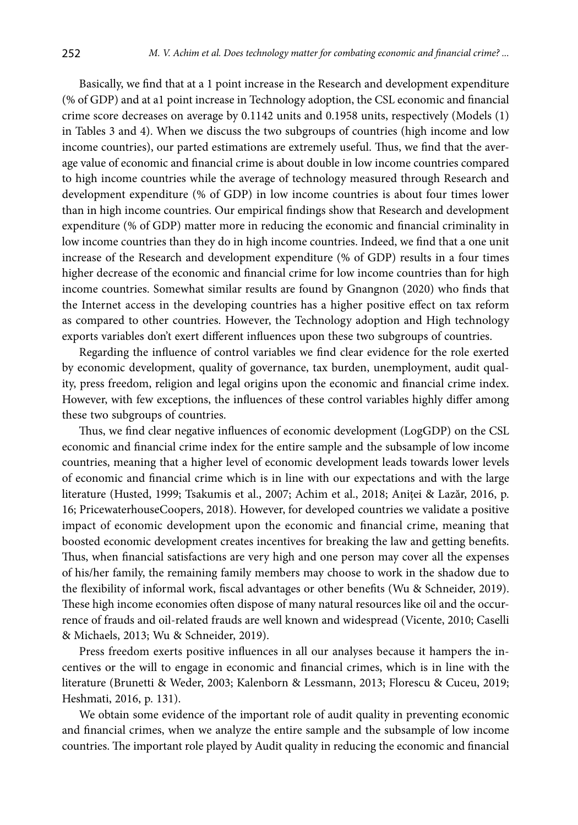Basically, we find that at a 1 point increase in the Research and development expenditure (% of GDP) and at a1 point increase in Technology adoption, the CSL economic and financial crime score decreases on average by 0.1142 units and 0.1958 units, respectively (Models (1) in Tables 3 and 4). When we discuss the two subgroups of countries (high income and low income countries), our parted estimations are extremely useful. Thus, we find that the average value of economic and financial crime is about double in low income countries compared to high income countries while the average of technology measured through Research and development expenditure (% of GDP) in low income countries is about four times lower than in high income countries. Our empirical findings show that Research and development expenditure (% of GDP) matter more in reducing the economic and financial criminality in low income countries than they do in high income countries. Indeed, we find that a one unit increase of the Research and development expenditure (% of GDP) results in a four times higher decrease of the economic and financial crime for low income countries than for high income countries. Somewhat similar results are found by Gnangnon (2020) who finds that the Internet access in the developing countries has a higher positive effect on tax reform as compared to other countries. However, the Technology adoption and High technology exports variables don't exert different influences upon these two subgroups of countries.

Regarding the influence of control variables we find clear evidence for the role exerted by economic development, quality of governance, tax burden, unemployment, audit quality, press freedom, religion and legal origins upon the economic and financial crime index. However, with few exceptions, the influences of these control variables highly differ among these two subgroups of countries.

Thus, we find clear negative influences of economic development (LogGDP) on the CSL economic and financial crime index for the entire sample and the subsample of low income countries, meaning that a higher level of economic development leads towards lower levels of economic and financial crime which is in line with our expectations and with the large literature (Husted, 1999; Tsakumis et al., 2007; Achim et al., 2018; Aniței & Lazăr, 2016, p. 16; PricewaterhouseCoopers, 2018). However, for developed countries we validate a positive impact of economic development upon the economic and financial crime, meaning that boosted economic development creates incentives for breaking the law and getting benefits. Thus, when financial satisfactions are very high and one person may cover all the expenses of his/her family, the remaining family members may choose to work in the shadow due to the flexibility of informal work, fiscal advantages or other benefits (Wu & Schneider, 2019). These high income economies often dispose of many natural resources like oil and the occurrence of frauds and oil-related frauds are well known and widespread (Vicente, 2010; Caselli & Michaels, 2013; Wu & Schneider, 2019).

Press freedom exerts positive influences in all our analyses because it hampers the incentives or the will to engage in economic and financial crimes, which is in line with the literature (Brunetti & Weder, 2003; Kalenborn & Lessmann, 2013; Florescu & Cuceu, 2019; Heshmati, 2016, p. 131).

We obtain some evidence of the important role of audit quality in preventing economic and financial crimes, when we analyze the entire sample and the subsample of low income countries. The important role played by Audit quality in reducing the economic and financial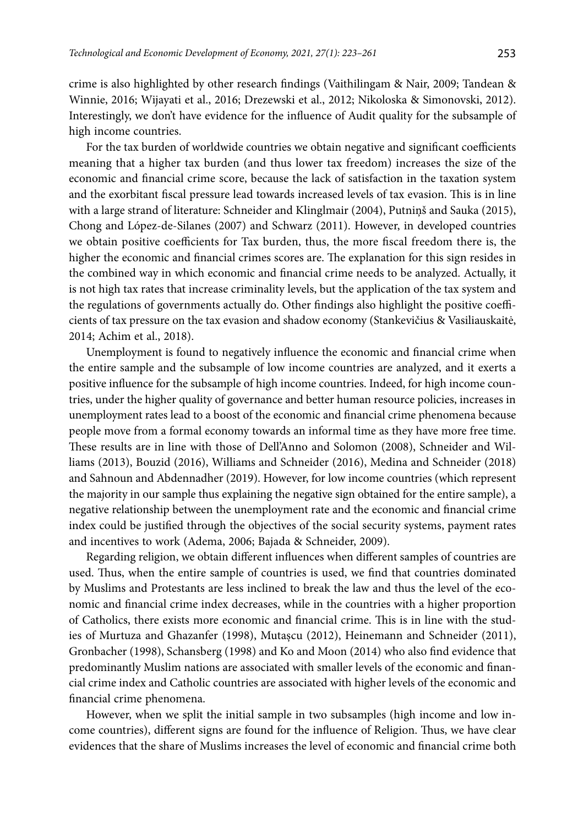crime is also highlighted by other research findings (Vaithilingam & Nair, 2009; Tandean & Winnie, 2016; Wijayati et al., 2016; Drezewski et al., 2012; Nikoloska & Simonovski, 2012). Interestingly, we don't have evidence for the influence of Audit quality for the subsample of high income countries.

For the tax burden of worldwide countries we obtain negative and significant coefficients meaning that a higher tax burden (and thus lower tax freedom) increases the size of the economic and financial crime score, because the lack of satisfaction in the taxation system and the exorbitant fiscal pressure lead towards increased levels of tax evasion. This is in line with a large strand of literature: Schneider and Klinglmair (2004), Putniņš and Sauka (2015), Chong and López-de-Silanes (2007) and Schwarz (2011). However, in developed countries we obtain positive coefficients for Tax burden, thus, the more fiscal freedom there is, the higher the economic and financial crimes scores are. The explanation for this sign resides in the combined way in which economic and financial crime needs to be analyzed. Actually, it is not high tax rates that increase criminality levels, but the application of the tax system and the regulations of governments actually do. Other findings also highlight the positive coefficients of tax pressure on the tax evasion and shadow economy ([Stankevičius & Vasiliauskaitė,](https://www.sciencedirect.com/science/article/pii/S1877042814060583#!) 2014; Achim et al., 2018).

Unemployment is found to negatively influence the economic and financial crime when the entire sample and the subsample of low income countries are analyzed, and it exerts a positive influence for the subsample of high income countries. Indeed, for high income countries, under the higher quality of governance and better human resource policies, increases in unemployment rates lead to a boost of the economic and financial crime phenomena because people move from a formal economy towards an informal time as they have more free time. These results are in line with those of Dell'Anno and Solomon (2008), Schneider and Williams (2013), Bouzid (2016), Williams and Schneider (2016), Medina and Schneider (2018) and Sahnoun and Abdennadher (2019). However, for low income countries (which represent the majority in our sample thus explaining the negative sign obtained for the entire sample), a negative relationship between the unemployment rate and the economic and financial crime index could be justified through the objectives of the social security systems, payment rates and incentives to work (Adema, 2006; Bajada & Schneider, 2009).

Regarding religion, we obtain different influences when different samples of countries are used. Thus, when the entire sample of countries is used, we find that countries dominated by Muslims and Protestants are less inclined to break the law and thus the level of the economic and financial crime index decreases, while in the countries with a higher proportion of Catholics, there exists more economic and financial crime. This is in line with the studies of Murtuza and Ghazanfer (1998), Mutașcu (2012), Heinemann and Schneider (2011), Gronbacher (1998), Schansberg (1998) and Ko and Moon (2014) who also find evidence that predominantly Muslim nations are associated with smaller levels of the economic and financial crime index and Catholic countries are associated with higher levels of the economic and financial crime phenomena.

However, when we split the initial sample in two subsamples (high income and low income countries), different signs are found for the influence of Religion. Thus, we have clear evidences that the share of Muslims increases the level of economic and financial crime both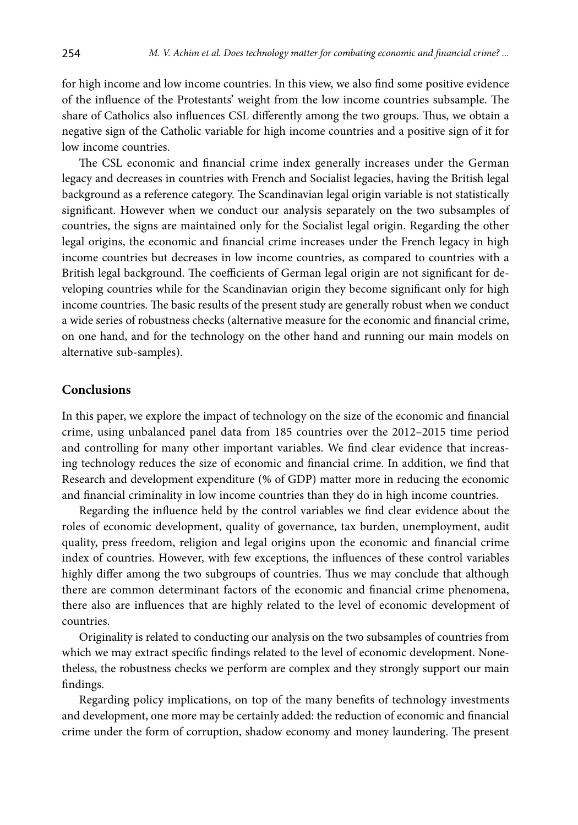for high income and low income countries. In this view, we also find some positive evidence of the influence of the Protestants' weight from the low income countries subsample. The share of Catholics also influences CSL differently among the two groups. Thus, we obtain a negative sign of the Catholic variable for high income countries and a positive sign of it for low income countries.

The CSL economic and financial crime index generally increases under the German legacy and decreases in countries with French and Socialist legacies, having the British legal background as a reference category. The Scandinavian legal origin variable is not statistically significant. However when we conduct our analysis separately on the two subsamples of countries, the signs are maintained only for the Socialist legal origin. Regarding the other legal origins, the economic and financial crime increases under the French legacy in high income countries but decreases in low income countries, as compared to countries with a British legal background. The coefficients of German legal origin are not significant for developing countries while for the Scandinavian origin they become significant only for high income countries. The basic results of the present study are generally robust when we conduct a wide series of robustness checks (alternative measure for the economic and financial crime, on one hand, and for the technology on the other hand and running our main models on alternative sub-samples).

### **Conclusions**

In this paper, we explore the impact of technology on the size of the economic and financial crime, using unbalanced panel data from 185 countries over the 2012–2015 time period and controlling for many other important variables. We find clear evidence that increasing technology reduces the size of economic and financial crime. In addition, we find that Research and development expenditure (% of GDP) matter more in reducing the economic and financial criminality in low income countries than they do in high income countries.

Regarding the influence held by the control variables we find clear evidence about the roles of economic development, quality of governance, tax burden, unemployment, audit quality, press freedom, religion and legal origins upon the economic and financial crime index of countries. However, with few exceptions, the influences of these control variables highly differ among the two subgroups of countries. Thus we may conclude that although there are common determinant factors of the economic and financial crime phenomena, there also are influences that are highly related to the level of economic development of countries.

Originality is related to conducting our analysis on the two subsamples of countries from which we may extract specific findings related to the level of economic development. Nonetheless, the robustness checks we perform are complex and they strongly support our main findings.

Regarding policy implications, on top of the many benefits of technology investments and development, one more may be certainly added: the reduction of economic and financial crime under the form of corruption, shadow economy and money laundering. The present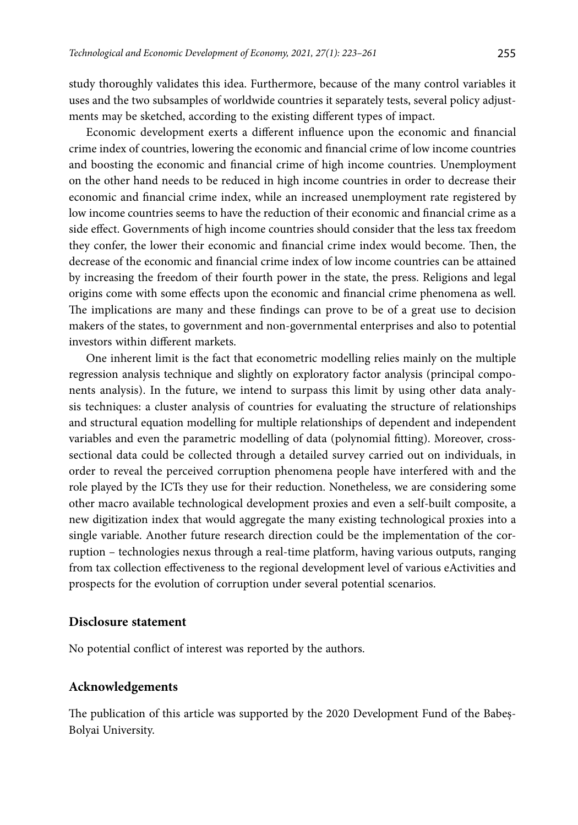study thoroughly validates this idea. Furthermore, because of the many control variables it uses and the two subsamples of worldwide countries it separately tests, several policy adjustments may be sketched, according to the existing different types of impact.

Economic development exerts a different influence upon the economic and financial crime index of countries, lowering the economic and financial crime of low income countries and boosting the economic and financial crime of high income countries. Unemployment on the other hand needs to be reduced in high income countries in order to decrease their economic and financial crime index, while an increased unemployment rate registered by low income countries seems to have the reduction of their economic and financial crime as a side effect. Governments of high income countries should consider that the less tax freedom they confer, the lower their economic and financial crime index would become. Then, the decrease of the economic and financial crime index of low income countries can be attained by increasing the freedom of their fourth power in the state, the press. Religions and legal origins come with some effects upon the economic and financial crime phenomena as well. The implications are many and these findings can prove to be of a great use to decision makers of the states, to government and non-governmental enterprises and also to potential investors within different markets.

One inherent limit is the fact that econometric modelling relies mainly on the multiple regression analysis technique and slightly on exploratory factor analysis (principal components analysis). In the future, we intend to surpass this limit by using other data analysis techniques: a cluster analysis of countries for evaluating the structure of relationships and structural equation modelling for multiple relationships of dependent and independent variables and even the parametric modelling of data (polynomial fitting). Moreover, crosssectional data could be collected through a detailed survey carried out on individuals, in order to reveal the perceived corruption phenomena people have interfered with and the role played by the ICTs they use for their reduction. Nonetheless, we are considering some other macro available technological development proxies and even a self-built composite, a new digitization index that would aggregate the many existing technological proxies into a single variable. Another future research direction could be the implementation of the corruption – technologies nexus through a real-time platform, having various outputs, ranging from tax collection effectiveness to the regional development level of various eActivities and prospects for the evolution of corruption under several potential scenarios.

#### **Disclosure statement**

No potential conflict of interest was reported by the authors.

#### **Acknowledgements**

The publication of this article was supported by the 2020 Development Fund of the Babeș-Bolyai University.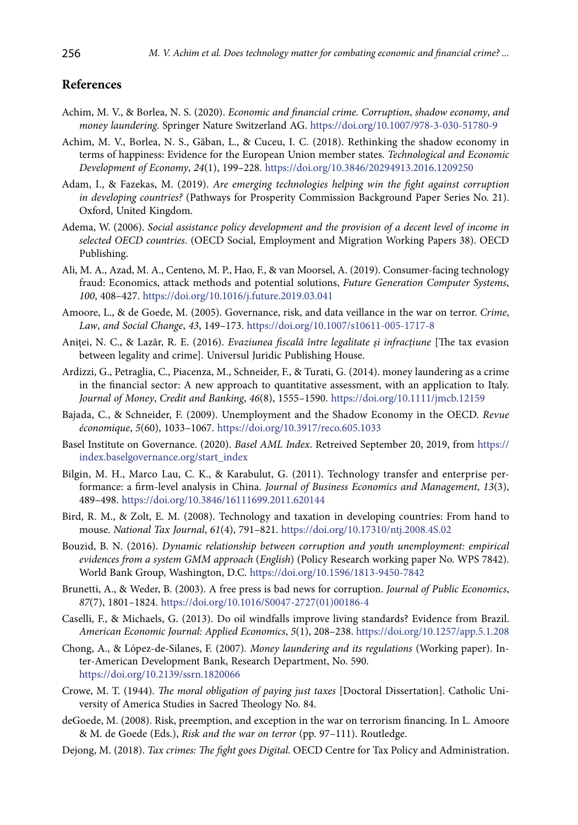### **References**

- Achim, M. V., & Borlea, N. S. (2020). *Economic and financial crime. Corruption*, *shadow economy*, *and money laundering.* Springer Nature Switzerland AG. <https://doi.org/10.1007/978-3-030-51780-9>
- Achim, M. V., Borlea, N. S., Găban, L., & Cuceu, I. C. (2018). Rethinking the shadow economy in terms of happiness: Evidence for the European Union member states. *Technological and Economic Development of Economy*, *24*(1), 199–228. <https://doi.org/10.3846/20294913.2016.1209250>
- Adam, I., & Fazekas, M. (2019). *Are emerging technologies helping win the fight against corruption in developing countries?* (Pathways for Prosperity Commission Background Paper Series No. 21). Oxford, United Kingdom.
- Adema, W. (2006). *[Social assistance policy development and the provision of a decent level of income in](https://ideas.repec.org/p/oec/elsaab/38-en.html)  [selected OECD countries](https://ideas.repec.org/p/oec/elsaab/38-en.html)*. [\(OECD Social, Employment and Migration Working Papers](https://ideas.repec.org/s/oec/elsaab.html) 38). OECD Publishing.
- Ali, M. A., Azad, M. A., Centeno, M. P., Hao, F., & van Moorsel, A. (2019). Consumer-facing technology fraud: Economics, attack methods and potential solutions, *Future Generation Computer Systems*, *100*, 408–427. <https://doi.org/10.1016/j.future.2019.03.041>
- Amoore, L., & de Goede, M. (2005). Governance, risk, and data veillance in the war on terror. *Crime*, *Law*, *and Social Change*, *43*, 149–173.<https://doi.org/10.1007/s10611-005-1717-8>
- Aniţei, N. C., & Lazăr, R. E. (2016). *Evaziunea fiscală între legalitate și infracţiune* [The tax evasion between legality and crime]. Universul Juridic Publishing House.
- Ardizzi, G., Petraglia, C., Piacenza, M., Schneider, F., & Turati, G. (2014). [money laundering as a crime](https://ideas.repec.org/a/wly/jmoncb/v46y2014i8p1555-1590.html)  [in the financial sector: A new approach to quantitative assessment, with an application to Italy](https://ideas.repec.org/a/wly/jmoncb/v46y2014i8p1555-1590.html). *Journal of Money*, *[Credit and Banking](https://ideas.repec.org/s/wly/jmoncb.html)*, *46*(8), 1555–1590. <https://doi.org/10.1111/jmcb.12159>
- [Bajada,](https://www.cairn.info/publications-de-Christopher-Bajada--42126.htm) C., & [Schneider](https://www.cairn.info/publications-de-Friedrich-Schneider--42122.htm), F. (2009). Unemployment and the Shadow Economy in the OECD. *[Revue](https://www.cairn.info/revue-economique.htm)  [économique](https://www.cairn.info/revue-economique.htm)*, *5*[\(60\),](https://www.cairn.info/revue-economique-2009-5.htm) 1033–1067. <https://doi.org/10.3917/reco.605.1033>
- Basel Institute on Governance. (2020). *Basel AML Index*. Retreived September 20, 2019, from [https://](https://index.baselgovernance.org/start_index) [index.baselgovernance.org/start\\_index](https://index.baselgovernance.org/start_index)
- Bilgin, M. H., Marco Lau, C. K., & Karabulut, G. (2011). Technology transfer and enterprise performance: a firm-level analysis in China. *Journal of Business Economics and Management*, *13*(3), 489–498. <https://doi.org/10.3846/16111699.2011.620144>
- Bird, R. M., & Zolt, E. M. (2008). Technology and taxation in developing countries: From hand to mouse. *National Tax Journal*, *61*(4), 791–821. <https://doi.org/10.17310/ntj.2008.4S.02>
- Bouzid, B. N. (2016). *Dynamic relationship between corruption and youth unemployment: empirical evidences from a system GMM approach* (*English*) (Policy Research working paper No. WPS 7842). World Bank Group, Washington, D.C. <https://doi.org/10.1596/1813-9450-7842>
- Brunetti, A., & Weder, B. (2003). A free press is bad news for corruption. *Journal of Public Economics*, *87*(7), 1801–1824. [https://doi.org/10.1016/S0047-2727\(01\)00186-4](https://doi.org/10.1016/S0047-2727(01)00186-4)
- Caselli, F., & Michaels, G. (2013). Do oil windfalls improve living standards? Evidence from Brazil. *American Economic Journal: Applied Economics*, *5*(1), 208–238. <https://doi.org/10.1257/app.5.1.208>
- Chong, A., & López-de-Silanes, F. (2007). *Money laundering and its regulations* (Working paper). Inter-American Development Bank, Research Department, No. 590. <https://doi.org/10.2139/ssrn.1820066>
- Crowe, M. T. (1944). *The moral obligation of paying just taxes* [Doctoral Dissertation]. Catholic University of America Studies in Sacred Theology No. 84.
- deGoede, M. (2008). Risk, preemption, and exception in the war on terrorism financing. In L. Amoore & M. de Goede (Eds.), *Risk and the war on terror* (pp. 97–111). Routledge.
- Dejong, M. (2018). *Tax crimes: The fight goes Digital*. OECD Centre for Tax Policy and Administration.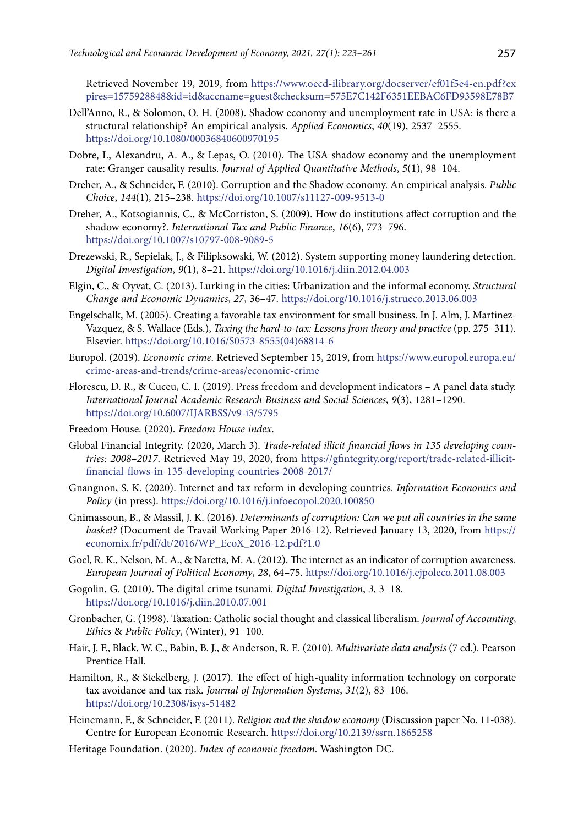Retrieved November 19, 2019, from [https://www.oecd-ilibrary.org/docserver/ef01f5e4-en.pdf?ex](https://www.oecd-ilibrary.org/docserver/ef01f5e4-en.pdf?expires=1575928848&id=id&accname=guest&checksum=575E7C142F6351EEBAC6FD93598E78B7) [pires=1575928848&id=id&accname=guest&checksum=575E7C142F6351EEBAC6FD93598E78B7](https://www.oecd-ilibrary.org/docserver/ef01f5e4-en.pdf?expires=1575928848&id=id&accname=guest&checksum=575E7C142F6351EEBAC6FD93598E78B7)

- Dell'Anno, R., & Solomon, O. H. (2008). Shadow economy and unemployment rate in USA: is there a structural relationship? An empirical analysis. *Applied Economics*, *40*(19), 2537–2555. <https://doi.org/10.1080/00036840600970195>
- Dobre, I., Alexandru, A. A., & Lepas, O. (2010). The USA shadow economy and the unemployment rate: Granger causality results. *Journal of Applied Quantitative Methods*, *5*(1), 98–104.
- Dreher, A., & Schneider, F. (2010). Corruption and the Shadow economy. An empirical analysis. *Public Choice*, *144*(1), 215–238. <https://doi.org/10.1007/s11127-009-9513-0>
- Dreher, A., [Kotsogiannis](https://econpapers.repec.org/RAS/pko309.htm), C., & McCorriston, S. (2009). How do institutions affect corruption and the shadow economy?. *[International Tax and Public Finance](https://econpapers.repec.org/article/kapitaxpf/)*, *16*(6), 773–796. <https://doi.org/10.1007/s10797-008-9089-5>
- Drezewski, R., Sepielak, J., & Filipksowski, W. (2012). System supporting money laundering detection. *Digital Investigation*, *9*(1), 8–21. <https://doi.org/10.1016/j.diin.2012.04.003>
- Elgin, C., & Oyvat, C. (2013). Lurking in the cities: Urbanization and the informal economy. *[Structural](https://www.sciencedirect.com/science/journal/0954349X) [Change and Economic Dynamics](https://www.sciencedirect.com/science/journal/0954349X)*, *27*, 36–47. <https://doi.org/10.1016/j.strueco.2013.06.003>
- Engelschalk, M. (2005). Creating a favorable tax environment for small business. In J. Alm, J. Martinez-Vazquez, & S. Wallace (Eds.), *Taxing the hard-to-tax: Lessons from theory and practice* (pp. 275–311). Elsevier. [https://doi.org/10.1016/S0573-8555\(04\)68814-6](https://doi.org/10.1016/S0573-8555(04)68814-6)
- Europol. (2019). *Economic crime*. Retrieved September 15, 2019, from [https://www.europol.europa.eu/](https://www.europol.europa.eu/crime-areas-and-trends/crime-areas/economic-crime) [crime-areas-and-trends/crime-areas/economic-crime](https://www.europol.europa.eu/crime-areas-and-trends/crime-areas/economic-crime)
- Florescu, D. R., & Cuceu, C. I. (2019). Press freedom and development indicators A panel data study. *International Journal Academic Research Business and Social Sciences*, *9*(3), 1281–1290. <https://doi.org/10.6007/IJARBSS/v9-i3/5795>
- Freedom House. (2020). *Freedom House index*.
- Global Financial Integrity. (2020, March 3). *Trade-related illicit financial flows in 135 developing countries: 2008–2017*. Retrieved May 19, 2020, from [https://gfintegrity.org/report/trade-related-illicit](https://gfintegrity.org/report/trade-related-illicit-financial-flows-in-135-developing-countries-2008-2017/)[financial-flows-in-135-developing-countries-2008-2017/](https://gfintegrity.org/report/trade-related-illicit-financial-flows-in-135-developing-countries-2008-2017/)
- Gnangnon, S. K. (2020). Internet and tax reform in developing countries. *Information Economics and Policy* (in press). <https://doi.org/10.1016/j.infoecopol.2020.100850>
- Gnimassoun, B., & Massil, J. K. (2016). *Determinants of corruption: Can we put all countries in the same basket?* (Document de Travail Working Paper 2016-12). Retrieved January 13, 2020, from [https://](https://economix.fr/pdf/dt/2016/WP_EcoX_2016-12.pdf?1.0) [economix.fr/pdf/dt/2016/WP\\_EcoX\\_2016-12.pdf?1.0](https://economix.fr/pdf/dt/2016/WP_EcoX_2016-12.pdf?1.0)
- Goel, R. K., Nelson, M. A., & Naretta, M. A. (2012). The internet as an indicator of corruption awareness. *European Journal of Political Economy*, *28*, 64–75. <https://doi.org/10.1016/j.ejpoleco.2011.08.003>
- Gogolin, G. (2010). The digital crime tsunami. *Digital Investigation*, *3*, 3–18. https://doi.org/10.1016/j.diin.2010.07.001
- Gronbacher, G. (1998). Taxation: Catholic social thought and classical liberalism. *Journal of Accounting*, *Ethics* & *Public Policy*, (Winter), 91–100.
- Hair, J. F., Black, W. C., Babin, B. J., & Anderson, R. E. (2010). *Multivariate data analysis* (7 ed.). Pearson Prentice Hall.
- Hamilton, R., & Stekelberg, J. (2017). The effect of high-quality information technology on corporate tax avoidance and tax risk. *Journal of Information Systems*, *31*(2), 83–106. <https://doi.org/10.2308/isys-51482>
- Heinemann, F., & Schneider, F. (2011). *Religion and the shadow economy* (Discussion paper No. 11-038). Centre for European Economic Research. <https://doi.org/10.2139/ssrn.1865258>
- Heritage Foundation. (2020). *Index of economic freedom*. Washington DC.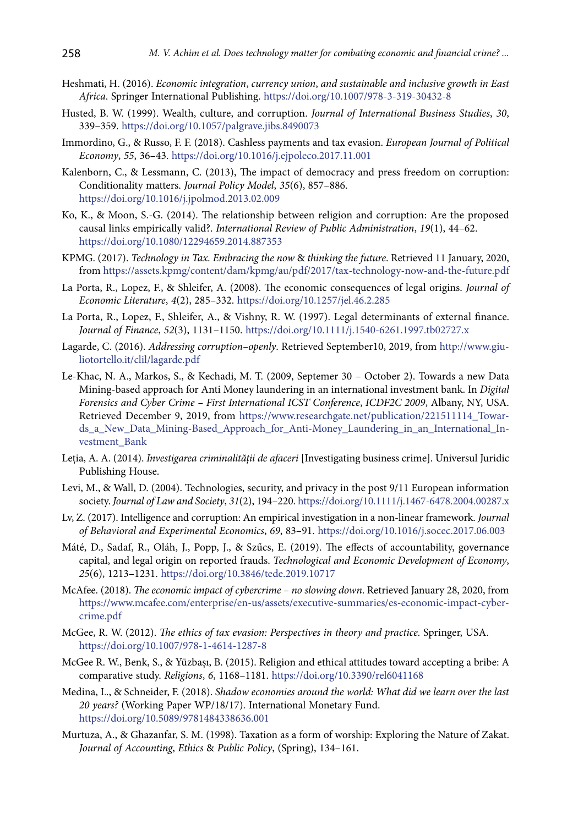- Heshmati, H. (2016). *Economic integration*, *currency union*, *and sustainable and inclusive growth in East Africa*. Springer International Publishing. <https://doi.org/10.1007/978-3-319-30432-8>
- Husted, B. W. (1999). Wealth, culture, and corruption. *Journal of International Business Studies*, *30*, 339–359. <https://doi.org/10.1057/palgrave.jibs.8490073>
- Immordino, G., & Russo, F. F. (2018). Cashless payments and tax evasion. *European Journal of Political Economy*, *55*, 36–43.<https://doi.org/10.1016/j.ejpoleco.2017.11.001>
- Kalenborn, C., & Lessmann, C. (2013), The impact of democracy and press freedom on corruption: Conditionality matters. *Journal Policy Model*, *35*(6), 857–886. <https://doi.org/10.1016/j.jpolmod.2013.02.009>
- Ko, K., & Moon, S.-G. (2014). The relationship between religion and corruption: Are the proposed causal links empirically valid?. *International Review of Public Administration*, *19*(1), 44–62. <https://doi.org/10.1080/12294659.2014.887353>
- KPMG. (2017). *Technology in Tax. Embracing the now* & *thinking the future*. Retrieved 11 January, 2020, from<https://assets.kpmg/content/dam/kpmg/au/pdf/2017/tax-technology-now-and-the-future.pdf>
- La Porta, R., Lopez, F., & Shleifer, A. (2008). The economic consequences of legal origins. *Journal of Economic Literature*, *4*(2), 285–332.<https://doi.org/10.1257/jel.46.2.285>
- La Porta, R., Lopez, F., Shleifer, A., & Vishny, R. W. (1997). Legal determinants of external finance. *Journal of Finance*, *52*(3), 1131–1150. <https://doi.org/10.1111/j.1540-6261.1997.tb02727.x>
- Lagarde, C. (2016). *Addressing corruption–openly*. Retrieved September10, 2019, from [http://www.giu](http://www.giuliotortello.it/clil/lagarde.pdf
)[liotortello.it/clil/lagarde.pdf](http://www.giuliotortello.it/clil/lagarde.pdf
)
- Le-Khac, N. A., Markos, S., & Kechadi, M. T. (2009, Septemer 30 October 2). Towards a new Data Mining-based approach for Anti Money laundering in an international investment bank. In *Digital Forensics and Cyber Crime – First International ICST Conference*, *ICDF2C 2009*, Albany, NY, USA. Retrieved December 9, 2019, from [https://www.researchgate.net/publication/221511114\\_Towar](https://www.researchgate.net/publication/221511114_Towards_a_New_Data_Mining-Based_Approach_for_Anti-Money_Laundering_in_an_International_Investment_Bank)[ds\\_a\\_New\\_Data\\_Mining-Based\\_Approach\\_for\\_Anti-Money\\_Laundering\\_in\\_an\\_International\\_In](https://www.researchgate.net/publication/221511114_Towards_a_New_Data_Mining-Based_Approach_for_Anti-Money_Laundering_in_an_International_Investment_Bank)[vestment\\_Bank](https://www.researchgate.net/publication/221511114_Towards_a_New_Data_Mining-Based_Approach_for_Anti-Money_Laundering_in_an_International_Investment_Bank)
- Letia, A. A. (2014). *Investigarea criminalității de afaceri* [Investigating business crime]. Universul Juridic Publishing House.
- Levi, M., & Wall, D. (2004). Technologies, security, and privacy in the post 9/11 European information society. *Journal of Law and Society*, *31*(2), 194–220.<https://doi.org/10.1111/j.1467-6478.2004.00287.x>
- Lv, Z. (2017). Intelligence and corruption: An empirical investigation in a non-linear framework. *Journal of Behavioral and Experimental Economics*, *69*, 83–91. <https://doi.org/10.1016/j.socec.2017.06.003>
- Máté, D., Sadaf, R., Oláh, J., Popp, J., & Szűcs, E. (2019). The effects of accountability, governance capital, and legal origin on reported frauds. *Technological and Economic Development of Economy*, *25*(6), 1213–1231. <https://doi.org/10.3846/tede.2019.10717>
- McAfee. (2018). *The economic impact of cybercrime no slowing down*. Retrieved January 28, 2020, from [https://www.mcafee.com/enterprise/en-us/assets/executive-summaries/es-economic-impact-cyber](https://www.mcafee.com/enterprise/en-us/assets/executive-summaries/es-economic-impact-cybercrime.pdf)[crime.pdf](https://www.mcafee.com/enterprise/en-us/assets/executive-summaries/es-economic-impact-cybercrime.pdf)
- McGee, R. W. (2012). *The ethics of tax evasion: Perspectives in theory and practice.* Springer, USA. https://doi.org/10.1007/978-1-4614-1287-8
- McGee R. W., Benk, S., & Yüzbaşı, B. (2015). Religion and ethical attitudes toward accepting a bribe: A comparative study. *Religions*, *6*, 1168–1181. <https://doi.org/10.3390/rel6041168>
- Medina, L., & Schneider, F. (2018). *Shadow economies around the world: What did we learn over the last 20 years?* (Working Paper WP/18/17). International Monetary Fund. https://doi.org/10.5089/9781484338636.001
- Murtuza, A., & Ghazanfar, S. M. (1998). Taxation as a form of worship: Exploring the Nature of Zakat. *Journal of Accounting*, *Ethics* & *Public Policy*, (Spring), 134–161.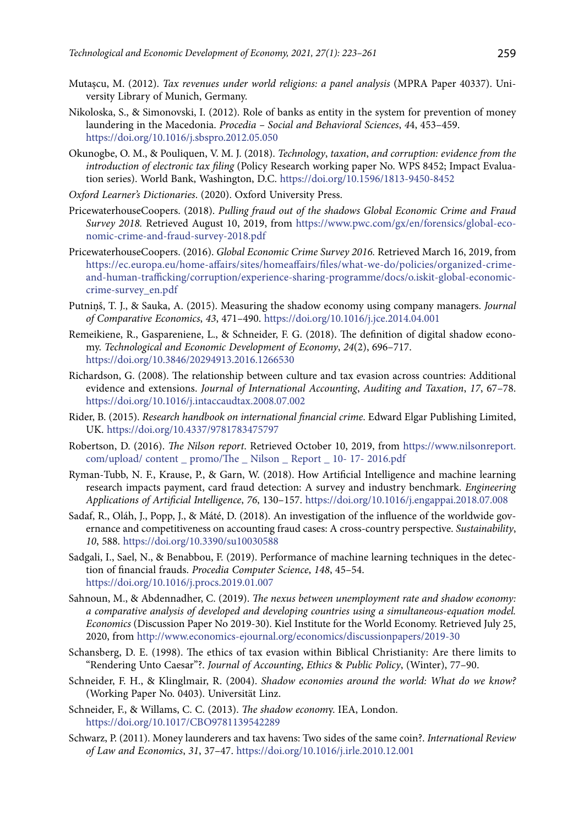- Mutașcu, M. (2012). *[Tax revenues under world religions: a panel analysis](https://ideas.repec.org/p/pra/mprapa/40337.html)* ([MPRA Paper](https://ideas.repec.org/s/pra/mprapa.html) 40337). University Library of Munich, Germany.
- Nikoloska, S., & Simonovski, I. (2012). Role of banks as entity in the system for prevention of money laundering in the Macedonia. *Procedia – Social and Behavioral Sciences*, *4*4, 453–459. <https://doi.org/10.1016/j.sbspro.2012.05.050>
- Okunogbe, O. M., & Pouliquen, V. M. J. (2018). *Technology*, *taxation*, *and corruption: evidence from the introduction of electronic tax filing* (Policy Research working paper No. WPS 8452; Impact Evaluation series). World Bank, Washington, D.C. <https://doi.org/10.1596/1813-9450-8452>
- *Oxford Learner's Dictionaries*. (2020). Oxford University Press.
- PricewaterhouseCoopers. (2018). *Pulling fraud out of the shadows Global Economic Crime and Fraud Survey 2018.* Retrieved August 10, 2019, from [https://www.pwc.com/gx/en/forensics/global-eco](https://www.pwc.com/gx/en/forensics/global-economic-crime-and-fraud-survey-2018.pdf)[nomic-crime-and-fraud-survey-2018.pdf](https://www.pwc.com/gx/en/forensics/global-economic-crime-and-fraud-survey-2018.pdf)
- PricewaterhouseCoopers. (2016). *Global Economic Crime Survey 2016.* Retrieved March 16, 2019, from [https://ec.europa.eu/home-affairs/sites/homeaffairs/files/what-we-do/policies/organized-crime](https://ec.europa.eu/home-affairs/sites/homeaffairs/files/what-we-do/policies/organized-crime-and-human-trafficking/corruption/experience-sharing-programme/docs/o.iskit-global-economic-crime-survey_en.pdf)[and-human-trafficking/corruption/experience-sharing-programme/docs/o.iskit-global-economic](https://ec.europa.eu/home-affairs/sites/homeaffairs/files/what-we-do/policies/organized-crime-and-human-trafficking/corruption/experience-sharing-programme/docs/o.iskit-global-economic-crime-survey_en.pdf)[crime-survey\\_en.pdf](https://ec.europa.eu/home-affairs/sites/homeaffairs/files/what-we-do/policies/organized-crime-and-human-trafficking/corruption/experience-sharing-programme/docs/o.iskit-global-economic-crime-survey_en.pdf)
- Putniņš, T. J., & Sauka, A. (2015). Measuring the shadow economy using company managers. *Journal of Comparative Economics*, *43*, 471–490. <https://doi.org/10.1016/j.jce.2014.04.001>
- Remeikiene, R., Gaspareniene, L., & Schneider, F. G. (2018). The definition of digital shadow economy. *Technological and Economic Development of Economy*, *24*(2), 696–717. <https://doi.org/10.3846/20294913.2016.1266530>
- Richardson, G. (2008). The relationship between culture and tax evasion across countries: Additional evidence and extensions. *Journal of International Accounting*, *Auditing and Taxation*, *17*, 67–78. <https://doi.org/10.1016/j.intaccaudtax.2008.07.002>
- Rider, B. (2015). *Research handbook on international financial crime*. Edward Elgar Publishing Limited, UK. <https://doi.org/10.4337/9781783475797>
- Robertson, D. (2016). *The Nilson report*. Retrieved October 10, 2019, from https://www.nilsonreport. com/upload/ content \_ promo/The \_ Nilson \_ Report \_ 10- 17- 2016.pdf
- Ryman-Tubb, N. F., Krause, P., & Garn, W. (2018). How Artificial Intelligence and machine learning research impacts payment, card fraud detection: A survey and industry benchmark. *Engineering Applications of Artificial Intelligence*, *76*, 130–157. <https://doi.org/10.1016/j.engappai.2018.07.008>
- Sadaf, R., Oláh, J., Popp, J., & Máté, D. (2018). An investigation of the influence of the worldwide governance and competitiveness on accounting fraud cases: A cross-country perspective. *Sustainability*, *10*, 588. <https://doi.org/10.3390/su10030588>
- Sadgali, I., Sael, N., & Benabbou, F. (2019). Performance of machine learning techniques in the detection of financial frauds. *Procedia Computer Science*, *148*, 45–54. <https://doi.org/10.1016/j.procs.2019.01.007>
- Sahnoun, M., & Abdennadher, C. (2019). *The nexus between unemployment rate and shadow economy: a comparative analysis of developed and developing countries using a simultaneous-equation model. Economics* (Discussion Paper No 2019-30). Kiel Institute for the World Economy. Retrieved July 25, 2020, from <http://www.economics-ejournal.org/economics/discussionpapers/2019-30>
- Schansberg, D. E. (1998). The ethics of tax evasion within Biblical Christianity: Are there limits to "Rendering Unto Caesar"?. *Journal of Accounting*, *Ethics* & *Public Policy*, (Winter), 77–90.
- Schneider, F. H., & Klinglmair, R. (2004). *Shadow economies around the world: What do we know?* (Working Paper No. 0403). Universität Linz.
- Schneider, F., & Willams, C. C. (2013). *The shadow econom*y. IEA, London. <https://doi.org/10.1017/CBO9781139542289>
- Schwarz, P. (2011). Money launderers and tax havens: Two sides of the same coin?. *International Review of Law and Economics*, *31*, 37–47. <https://doi.org/10.1016/j.irle.2010.12.001>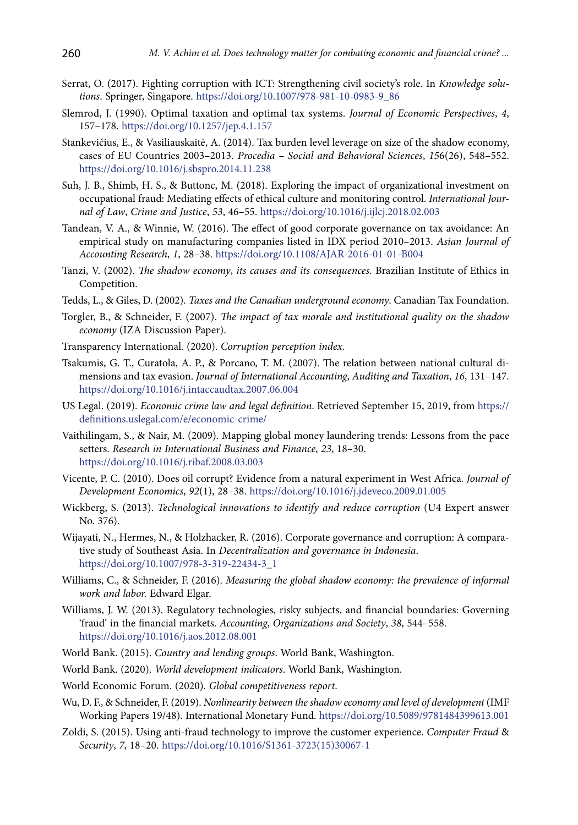- Serrat, O. (2017). Fighting corruption with ICT: Strengthening civil society's role. In *Knowledge solutions*. Springer, Singapore. [https://doi.org/10.1007/978-981-10-0983-9\\_86](https://doi.org/10.1007/978-981-10-0983-9_86)
- Slemrod, J. (1990). Optimal taxation and optimal tax systems. *Journal of Economic Perspectives*, *4*, 157–178. <https://doi.org/10.1257/jep.4.1.157>
- Stankevičius, E., & Vasiliauskaitė, A. (2014). Tax burden level leverage on size of the shadow economy, cases of EU Countries 2003–2013. *Procedia – Social and Behavioral Sciences*, *15*6(26), 548–552. <https://doi.org/10.1016/j.sbspro.2014.11.238>
- Suh, J. B., Shimb, H. S., & Buttonc, M. (2018). Exploring the impact of organizational investment on occupational fraud: Mediating effects of ethical culture and monitoring control. *International Journal of Law*, *Crime and Justice*, *53*, 46–55.<https://doi.org/10.1016/j.ijlcj.2018.02.003>
- Tandean, V. A., & Winnie, W. (2016). The effect of good corporate governance on tax avoidance: An empirical study on manufacturing companies listed in IDX period 2010–2013. *Asian Journal of Accounting Research*, *1*, 28–38. https://doi.org/10.1108/AJAR-2016-01-01-B004
- Tanzi, V. (2002). *The shadow economy*, *its causes and its consequences*. Brazilian Institute of Ethics in Competition.
- Tedds, L., & Giles, D. (2002)*. Taxes and the Canadian underground economy*. Canadian Tax Foundation.
- Torgler, B., & Schneider, F. (2007). *The impact of tax morale and institutional quality on the shadow economy* (IZA Discussion Paper).
- Transparency International. (2020). *Corruption perception index.*
- Tsakumis, G. T., Curatola, A. P., & Porcano, T. M. (2007). The relation between national cultural dimensions and tax evasion. *Journal of International Accounting*, *Auditing and Taxation*, *16*, 131–147. <https://doi.org/10.1016/j.intaccaudtax.2007.06.004>
- US Legal. (2019). *Economic crime law and legal definition*. Retrieved September 15, 2019, from [https://](https://definitions.uslegal.com/e/economic-crime/) [definitions.uslegal.com/e/economic-crime/](https://definitions.uslegal.com/e/economic-crime/)
- Vaithilingam, S., & Nair, M. (2009). Mapping global money laundering trends: Lessons from the pace setters. *Research in International Business and Finance*, *23*, 18–30. <https://doi.org/10.1016/j.ribaf.2008.03.003>
- Vicente, P. C. (2010). Does oil corrupt? Evidence from a natural experiment in West Africa. *Journal of Development Economics*, *92*(1), 28–38. <https://doi.org/10.1016/j.jdeveco.2009.01.005>
- Wickberg, S. (2013). *Technological innovations to identify and reduce corruption* (U4 Expert answer No. 376).
- Wijayati, N., Hermes, N., & Holzhacker, R. (2016). Corporate governance and corruption: A comparative study of Southeast Asia. In *Decentralization and governance in Indonesia*. [https://doi.org/10.1007/978-3-319-22434-3\\_1](https://doi.org/10.1007/978-3-319-22434-3_1)
- Williams, C., & Schneider, F. (2016). *Measuring the global shadow economy: the prevalence of informal work and labor.* Edward Elgar.
- Williams, J. W. (2013). Regulatory technologies, risky subjects, and financial boundaries: Governing 'fraud' in the financial markets. *Accounting*, *Organizations and Society*, *38*, 544–558. <https://doi.org/10.1016/j.aos.2012.08.001>
- World Bank. (2015). *Country and lending groups*. World Bank, Washington.
- World Bank. (2020). *World development indicators*. World Bank, Washington.
- World Economic Forum. (2020). *Global competitiveness report*.
- Wu, D. F., & Schneider, F. (2019). *[Nonlinearity between the shadow economy and level of development](https://ideas.repec.org/p/imf/imfwpa/19-48.html)* ([IMF](https://ideas.repec.org/s/imf/imfwpa.html)  [Working Papers](https://ideas.repec.org/s/imf/imfwpa.html) 19/48). International Monetary Fund. <https://doi.org/10.5089/9781484399613.001>
- Zoldi, S. (2015). Using anti-fraud technology to improve the customer experience. *[Computer Fraud](https://www.sciencedirect.com/science/journal/13613723)* & *[Security](https://www.sciencedirect.com/science/journal/13613723)*, *[7](https://www.sciencedirect.com/science/journal/13613723/2015/7)*, 18–20. [https://doi.org/10.1016/S1361-3723\(15\)30067-1](https://doi.org/10.1016/S1361-3723(15)30067-1)